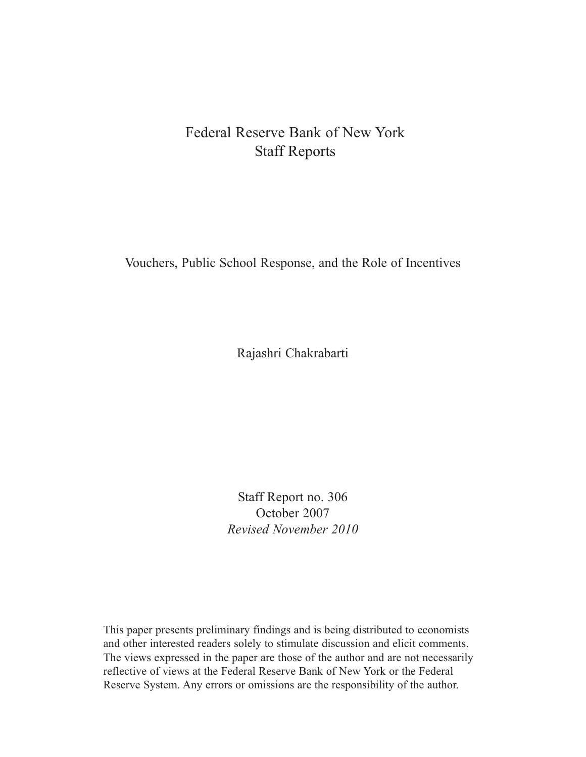# Federal Reserve Bank of New York Staff Reports

Vouchers, Public School Response, and the Role of Incentives

Rajashri Chakrabarti

Staff Report no. 306 October 2007 *Revised November 2010*

This paper presents preliminary findings and is being distributed to economists and other interested readers solely to stimulate discussion and elicit comments. The views expressed in the paper are those of the author and are not necessarily reflective of views at the Federal Reserve Bank of New York or the Federal Reserve System. Any errors or omissions are the responsibility of the author.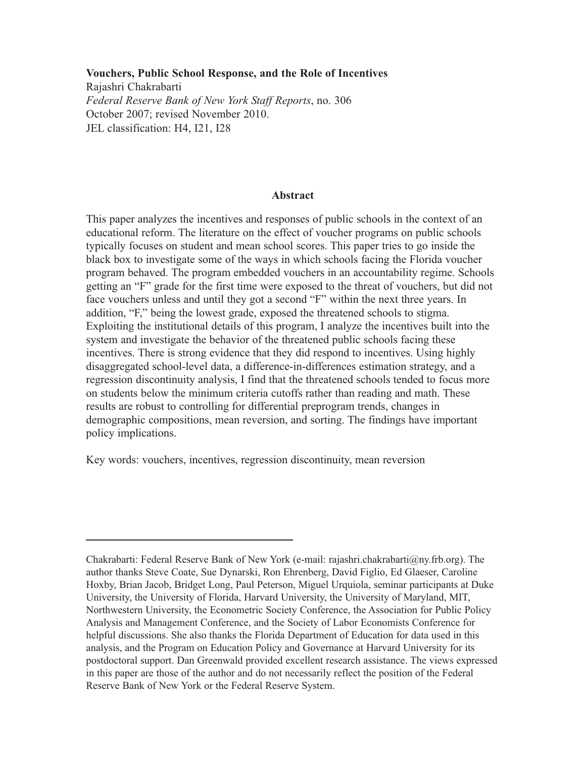## **Vouchers, Public School Response, and the Role of Incentives**

Rajashri Chakrabarti *Federal Reserve Bank of New York Staff Reports*, no. 306 October 2007; revised November 2010. JEL classification: H4, I21, I28

## **Abstract**

This paper analyzes the incentives and responses of public schools in the context of an educational reform. The literature on the effect of voucher programs on public schools typically focuses on student and mean school scores. This paper tries to go inside the black box to investigate some of the ways in which schools facing the Florida voucher program behaved. The program embedded vouchers in an accountability regime. Schools getting an "F" grade for the first time were exposed to the threat of vouchers, but did not face vouchers unless and until they got a second "F" within the next three years. In addition, "F," being the lowest grade, exposed the threatened schools to stigma. Exploiting the institutional details of this program, I analyze the incentives built into the system and investigate the behavior of the threatened public schools facing these incentives. There is strong evidence that they did respond to incentives. Using highly disaggregated school-level data, a difference-in-differences estimation strategy, and a regression discontinuity analysis, I find that the threatened schools tended to focus more on students below the minimum criteria cutoffs rather than reading and math. These results are robust to controlling for differential preprogram trends, changes in demographic compositions, mean reversion, and sorting. The findings have important policy implications.

Key words: vouchers, incentives, regression discontinuity, mean reversion

Chakrabarti: Federal Reserve Bank of New York (e-mail: rajashri.chakrabarti@ny.frb.org). The author thanks Steve Coate, Sue Dynarski, Ron Ehrenberg, David Figlio, Ed Glaeser, Caroline Hoxby, Brian Jacob, Bridget Long, Paul Peterson, Miguel Urquiola, seminar participants at Duke University, the University of Florida, Harvard University, the University of Maryland, MIT, Northwestern University, the Econometric Society Conference, the Association for Public Policy Analysis and Management Conference, and the Society of Labor Economists Conference for helpful discussions. She also thanks the Florida Department of Education for data used in this analysis, and the Program on Education Policy and Governance at Harvard University for its postdoctoral support. Dan Greenwald provided excellent research assistance. The views expressed in this paper are those of the author and do not necessarily reflect the position of the Federal Reserve Bank of New York or the Federal Reserve System.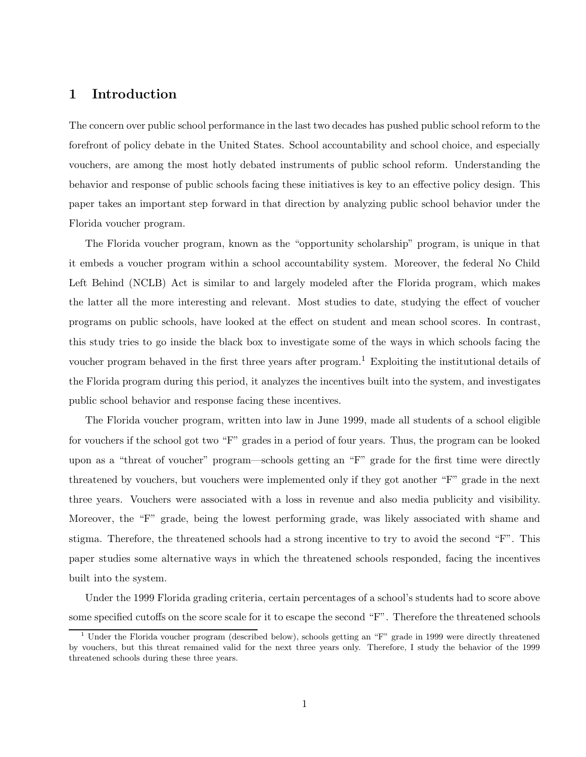## **1 Introduction**

The concern over public school performance in the last two decades has pushed public school reform to the forefront of policy debate in the United States. School accountability and school choice, and especially vouchers, are among the most hotly debated instruments of public school reform. Understanding the behavior and response of public schools facing these initiatives is key to an effective policy design. This paper takes an important step forward in that direction by analyzing public school behavior under the Florida voucher program.

The Florida voucher program, known as the "opportunity scholarship" program, is unique in that it embeds a voucher program within a school accountability system. Moreover, the federal No Child Left Behind (NCLB) Act is similar to and largely modeled after the Florida program, which makes the latter all the more interesting and relevant. Most studies to date, studying the effect of voucher programs on public schools, have looked at the effect on student and mean school scores. In contrast, this study tries to go inside the black box to investigate some of the ways in which schools facing the voucher program behaved in the first three years after program.<sup>1</sup> Exploiting the institutional details of the Florida program during this period, it analyzes the incentives built into the system, and investigates public school behavior and response facing these incentives.

The Florida voucher program, written into law in June 1999, made all students of a school eligible for vouchers if the school got two "F" grades in a period of four years. Thus, the program can be looked upon as a "threat of voucher" program—schools getting an "F" grade for the first time were directly threatened by vouchers, but vouchers were implemented only if they got another "F" grade in the next three years. Vouchers were associated with a loss in revenue and also media publicity and visibility. Moreover, the "F" grade, being the lowest performing grade, was likely associated with shame and stigma. Therefore, the threatened schools had a strong incentive to try to avoid the second "F". This paper studies some alternative ways in which the threatened schools responded, facing the incentives built into the system.

Under the 1999 Florida grading criteria, certain percentages of a school's students had to score above some specified cutoffs on the score scale for it to escape the second "F". Therefore the threatened schools

<sup>&</sup>lt;sup>1</sup> Under the Florida voucher program (described below), schools getting an "F" grade in 1999 were directly threatened by vouchers, but this threat remained valid for the next three years only. Therefore, I study the behavior of the 1999 threatened schools during these three years.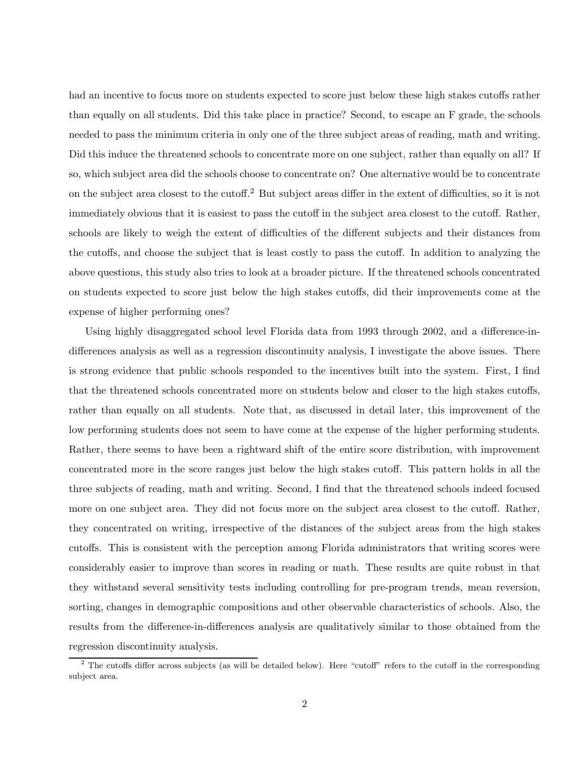had an incentive to focus more on students expected to score just below these high stakes cutoffs rather than equally on all students. Did this take place in practice? Second, to escape an F grade, the schools needed to pass the minimum criteria in only one of the three subject areas of reading, math and writing. Did this induce the threatened schools to concentrate more on one subject, rather than equally on all? If so, which subject area did the schools choose to concentrate on? One alternative would be to concentrate on the subject area closest to the cutoff.<sup>2</sup> But subject areas differ in the extent of difficulties, so it is not immediately obvious that it is easiest to pass the cutoff in the subject area closest to the cutoff. Rather, schools are likely to weigh the extent of difficulties of the different subjects and their distances from the cutoffs, and choose the subject that is least costly to pass the cutoff. In addition to analyzing the above questions, this study also tries to look at a broader picture. If the threatened schools concentrated on students expected to score just below the high stakes cutoffs, did their improvements come at the expense of higher performing ones?

Using highly disaggregated school level Florida data from 1993 through 2002, and a difference-indifferences analysis as well as a regression discontinuity analysis, I investigate the above issues. There is strong evidence that public schools responded to the incentives built into the system. First, I find that the threatened schools concentrated more on students below and closer to the high stakes cutoffs, rather than equally on all students. Note that, as discussed in detail later, this improvement of the low performing students does not seem to have come at the expense of the higher performing students. Rather, there seems to have been a rightward shift of the entire score distribution, with improvement concentrated more in the score ranges just below the high stakes cutoff. This pattern holds in all the three subjects of reading, math and writing. Second, I find that the threatened schools indeed focused more on one subject area. They did not focus more on the subject area closest to the cutoff. Rather, they concentrated on writing, irrespective of the distances of the subject areas from the high stakes cutoffs. This is consistent with the perception among Florida administrators that writing scores were considerably easier to improve than scores in reading or math. These results are quite robust in that they withstand several sensitivity tests including controlling for pre-program trends, mean reversion, sorting, changes in demographic compositions and other observable characteristics of schools. Also, the results from the difference-in-differences analysis are qualitatively similar to those obtained from the regression discontinuity analysis.

<sup>&</sup>lt;sup>2</sup> The cutoffs differ across subjects (as will be detailed below). Here "cutoff" refers to the cutoff in the corresponding subject area.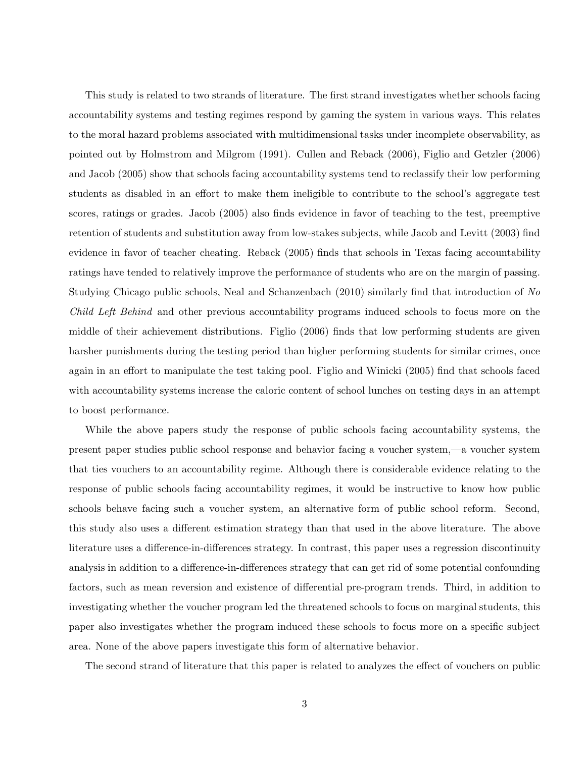This study is related to two strands of literature. The first strand investigates whether schools facing accountability systems and testing regimes respond by gaming the system in various ways. This relates to the moral hazard problems associated with multidimensional tasks under incomplete observability, as pointed out by Holmstrom and Milgrom (1991). Cullen and Reback (2006), Figlio and Getzler (2006) and Jacob (2005) show that schools facing accountability systems tend to reclassify their low performing students as disabled in an effort to make them ineligible to contribute to the school's aggregate test scores, ratings or grades. Jacob (2005) also finds evidence in favor of teaching to the test, preemptive retention of students and substitution away from low-stakes subjects, while Jacob and Levitt (2003) find evidence in favor of teacher cheating. Reback (2005) finds that schools in Texas facing accountability ratings have tended to relatively improve the performance of students who are on the margin of passing. Studying Chicago public schools, Neal and Schanzenbach (2010) similarly find that introduction of No Child Left Behind and other previous accountability programs induced schools to focus more on the middle of their achievement distributions. Figlio (2006) finds that low performing students are given harsher punishments during the testing period than higher performing students for similar crimes, once again in an effort to manipulate the test taking pool. Figlio and Winicki (2005) find that schools faced with accountability systems increase the caloric content of school lunches on testing days in an attempt to boost performance.

While the above papers study the response of public schools facing accountability systems, the present paper studies public school response and behavior facing a voucher system,—a voucher system that ties vouchers to an accountability regime. Although there is considerable evidence relating to the response of public schools facing accountability regimes, it would be instructive to know how public schools behave facing such a voucher system, an alternative form of public school reform. Second, this study also uses a different estimation strategy than that used in the above literature. The above literature uses a difference-in-differences strategy. In contrast, this paper uses a regression discontinuity analysis in addition to a difference-in-differences strategy that can get rid of some potential confounding factors, such as mean reversion and existence of differential pre-program trends. Third, in addition to investigating whether the voucher program led the threatened schools to focus on marginal students, this paper also investigates whether the program induced these schools to focus more on a specific subject area. None of the above papers investigate this form of alternative behavior.

The second strand of literature that this paper is related to analyzes the effect of vouchers on public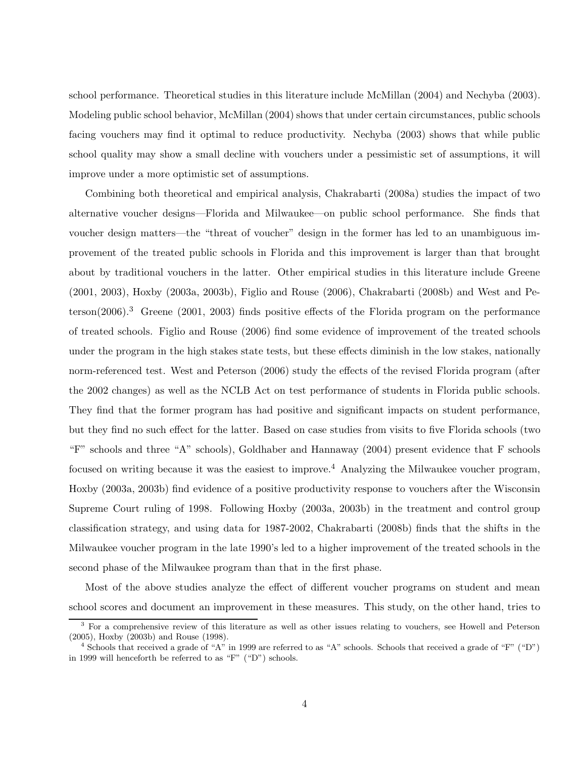school performance. Theoretical studies in this literature include McMillan (2004) and Nechyba (2003). Modeling public school behavior, McMillan (2004) shows that under certain circumstances, public schools facing vouchers may find it optimal to reduce productivity. Nechyba (2003) shows that while public school quality may show a small decline with vouchers under a pessimistic set of assumptions, it will improve under a more optimistic set of assumptions.

Combining both theoretical and empirical analysis, Chakrabarti (2008a) studies the impact of two alternative voucher designs—Florida and Milwaukee—on public school performance. She finds that voucher design matters—the "threat of voucher" design in the former has led to an unambiguous improvement of the treated public schools in Florida and this improvement is larger than that brought about by traditional vouchers in the latter. Other empirical studies in this literature include Greene (2001, 2003), Hoxby (2003a, 2003b), Figlio and Rouse (2006), Chakrabarti (2008b) and West and Peterson(2006).<sup>3</sup> Greene (2001, 2003) finds positive effects of the Florida program on the performance of treated schools. Figlio and Rouse (2006) find some evidence of improvement of the treated schools under the program in the high stakes state tests, but these effects diminish in the low stakes, nationally norm-referenced test. West and Peterson (2006) study the effects of the revised Florida program (after the 2002 changes) as well as the NCLB Act on test performance of students in Florida public schools. They find that the former program has had positive and significant impacts on student performance, but they find no such effect for the latter. Based on case studies from visits to five Florida schools (two "F" schools and three "A" schools), Goldhaber and Hannaway (2004) present evidence that F schools focused on writing because it was the easiest to improve.<sup>4</sup> Analyzing the Milwaukee voucher program, Hoxby (2003a, 2003b) find evidence of a positive productivity response to vouchers after the Wisconsin Supreme Court ruling of 1998. Following Hoxby (2003a, 2003b) in the treatment and control group classification strategy, and using data for 1987-2002, Chakrabarti (2008b) finds that the shifts in the Milwaukee voucher program in the late 1990's led to a higher improvement of the treated schools in the second phase of the Milwaukee program than that in the first phase.

Most of the above studies analyze the effect of different voucher programs on student and mean school scores and document an improvement in these measures. This study, on the other hand, tries to

<sup>3</sup> For a comprehensive review of this literature as well as other issues relating to vouchers, see Howell and Peterson (2005), Hoxby (2003b) and Rouse (1998).

<sup>4</sup> Schools that received a grade of "A" in 1999 are referred to as "A" schools. Schools that received a grade of "F" ("D") in 1999 will henceforth be referred to as "F" ("D") schools.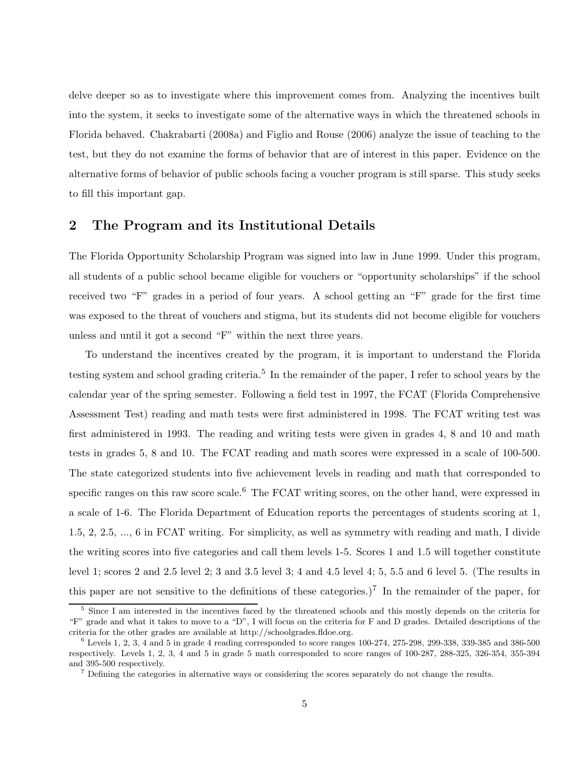delve deeper so as to investigate where this improvement comes from. Analyzing the incentives built into the system, it seeks to investigate some of the alternative ways in which the threatened schools in Florida behaved. Chakrabarti (2008a) and Figlio and Rouse (2006) analyze the issue of teaching to the test, but they do not examine the forms of behavior that are of interest in this paper. Evidence on the alternative forms of behavior of public schools facing a voucher program is still sparse. This study seeks to fill this important gap.

## **2 The Program and its Institutional Details**

The Florida Opportunity Scholarship Program was signed into law in June 1999. Under this program, all students of a public school became eligible for vouchers or "opportunity scholarships" if the school received two "F" grades in a period of four years. A school getting an "F" grade for the first time was exposed to the threat of vouchers and stigma, but its students did not become eligible for vouchers unless and until it got a second "F" within the next three years.

To understand the incentives created by the program, it is important to understand the Florida testing system and school grading criteria.<sup>5</sup> In the remainder of the paper, I refer to school years by the calendar year of the spring semester. Following a field test in 1997, the FCAT (Florida Comprehensive Assessment Test) reading and math tests were first administered in 1998. The FCAT writing test was first administered in 1993. The reading and writing tests were given in grades 4, 8 and 10 and math tests in grades 5, 8 and 10. The FCAT reading and math scores were expressed in a scale of 100-500. The state categorized students into five achievement levels in reading and math that corresponded to specific ranges on this raw score scale.<sup>6</sup> The FCAT writing scores, on the other hand, were expressed in a scale of 1-6. The Florida Department of Education reports the percentages of students scoring at 1, 1.5, 2, 2.5, ..., 6 in FCAT writing. For simplicity, as well as symmetry with reading and math, I divide the writing scores into five categories and call them levels 1-5. Scores 1 and 1.5 will together constitute level 1; scores 2 and 2.5 level 2; 3 and 3.5 level 3; 4 and 4.5 level 4; 5, 5.5 and 6 level 5. (The results in this paper are not sensitive to the definitions of these categories.)<sup>7</sup> In the remainder of the paper, for

<sup>5</sup> Since I am interested in the incentives faced by the threatened schools and this mostly depends on the criteria for "F" grade and what it takes to move to a "D", I will focus on the criteria for F and D grades. Detailed descriptions of the criteria for the other grades are available at http://schoolgrades.fldoe.org.

 $6$  Levels 1, 2, 3, 4 and 5 in grade 4 reading corresponded to score ranges  $100-274$ ,  $275-298$ ,  $299-338$ ,  $339-385$  and  $386-500$ respectively. Levels 1, 2, 3, 4 and 5 in grade 5 math corresponded to score ranges of 100-287, 288-325, 326-354, 355-394 and 395-500 respectively.

<sup>&</sup>lt;sup>7</sup> Defining the categories in alternative ways or considering the scores separately do not change the results.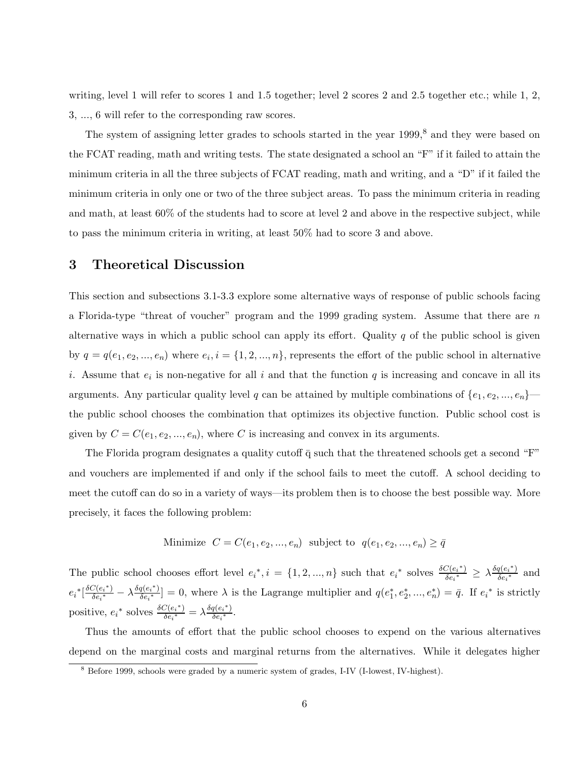writing, level 1 will refer to scores 1 and 1.5 together; level 2 scores 2 and 2.5 together etc.; while 1, 2, 3, ..., 6 will refer to the corresponding raw scores.

The system of assigning letter grades to schools started in the year  $1999<sup>8</sup>$  and they were based on the FCAT reading, math and writing tests. The state designated a school an "F" if it failed to attain the minimum criteria in all the three subjects of FCAT reading, math and writing, and a "D" if it failed the minimum criteria in only one or two of the three subject areas. To pass the minimum criteria in reading and math, at least 60% of the students had to score at level 2 and above in the respective subject, while to pass the minimum criteria in writing, at least 50% had to score 3 and above.

## **3 Theoretical Discussion**

This section and subsections 3.1-3.3 explore some alternative ways of response of public schools facing a Florida-type "threat of voucher" program and the 1999 grading system. Assume that there are  $n$ alternative ways in which a public school can apply its effort. Quality  $q$  of the public school is given by  $q = q(e_1, e_2, ..., e_n)$  where  $e_i, i = \{1, 2, ..., n\}$ , represents the effort of the public school in alternative i. Assume that  $e_i$  is non-negative for all i and that the function q is increasing and concave in all its arguments. Any particular quality level q can be attained by multiple combinations of  $\{e_1, e_2, ..., e_n\}$ the public school chooses the combination that optimizes its objective function. Public school cost is given by  $C = C(e_1, e_2, ..., e_n)$ , where C is increasing and convex in its arguments.

The Florida program designates a quality cutoff  $\bar{q}$  such that the threatened schools get a second "F" and vouchers are implemented if and only if the school fails to meet the cutoff. A school deciding to meet the cutoff can do so in a variety of ways—its problem then is to choose the best possible way. More precisely, it faces the following problem:

Minimize 
$$
C = C(e_1, e_2, ..., e_n)
$$
 subject to  $q(e_1, e_2, ..., e_n) \ge \bar{q}$ 

The public school chooses effort level  $e_i^*, i = \{1, 2, ..., n\}$  such that  $e_i^*$  solves  $\frac{\delta C(e_i^*)}{\delta e_i^*}$  $\frac{C(e_i^*)}{\delta {e_i}^*} \geq \lambda \frac{\delta q(e_i^*)}{\delta {e_i}^*}$  $\frac{q(e_i)}{\delta e_i^*}$  and  $e_i^*[\frac{\delta C(e_i^*)}{\delta e_i^*}]$  $\frac{\tilde{C}(e_i^*)}{\delta {e_i}^*}-\lambda \frac{\delta q(e_i^*)}{\delta {e_i}^*}$  $\frac{q(e_i^*)}{\delta e_i^*} = 0$ , where  $\lambda$  is the Lagrange multiplier and  $q(e_1^*, e_2^*, ..., e_n^*) = \bar{q}$ . If  $e_i^*$  is strictly positive,  $e_i^*$  solves  $\frac{\delta C(e_i^*)}{\delta e_i^*}$  $\frac{\partial (e_i^*)}{\partial {e_i}^*} = \lambda \frac{\delta q(e_i^*)}{\delta {e_i}^*}$  $\frac{q(e_i)}{\delta {e_i}^*}$ .

Thus the amounts of effort that the public school chooses to expend on the various alternatives depend on the marginal costs and marginal returns from the alternatives. While it delegates higher

<sup>&</sup>lt;sup>8</sup> Before 1999, schools were graded by a numeric system of grades, I-IV (I-lowest, IV-highest).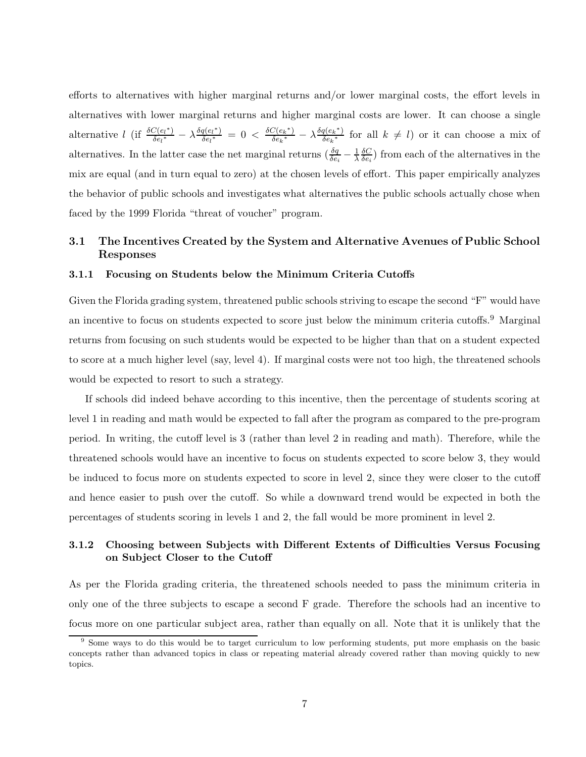efforts to alternatives with higher marginal returns and/or lower marginal costs, the effort levels in alternatives with lower marginal returns and higher marginal costs are lower. It can choose a single alternative l (if  $\frac{\delta C(e_l^*)}{\delta e_l^*}$  $\frac{\tilde{C}(e_l^*)}{\delta {e_l}^*}-\lambda \frac{\delta q(e_l^*)}{\delta {e_l}^*}$  $\frac{q(e_i^*)}{\delta e_i^*} = 0 \langle \frac{\delta C(e_k^*)}{\delta e_k^*} - \lambda \frac{\delta q(e_k^*)}{\delta e_k^*} \text{ for all } k \neq l \rangle \text{ or it can choose a mix of }$ alternatives. In the latter case the net marginal returns  $(\frac{\delta q}{\delta e_i} - \frac{1}{\lambda} \frac{\delta C}{\delta e_i})$  from each of the alternatives in the mix are equal (and in turn equal to zero) at the chosen levels of effort. This paper empirically analyzes the behavior of public schools and investigates what alternatives the public schools actually chose when faced by the 1999 Florida "threat of voucher" program.

## **3.1 The Incentives Created by the System and Alternative Avenues of Public School Responses**

#### **3.1.1 Focusing on Students below the Minimum Criteria Cutoffs**

Given the Florida grading system, threatened public schools striving to escape the second "F" would have an incentive to focus on students expected to score just below the minimum criteria cutoffs.<sup>9</sup> Marginal returns from focusing on such students would be expected to be higher than that on a student expected to score at a much higher level (say, level 4). If marginal costs were not too high, the threatened schools would be expected to resort to such a strategy.

If schools did indeed behave according to this incentive, then the percentage of students scoring at level 1 in reading and math would be expected to fall after the program as compared to the pre-program period. In writing, the cutoff level is 3 (rather than level 2 in reading and math). Therefore, while the threatened schools would have an incentive to focus on students expected to score below 3, they would be induced to focus more on students expected to score in level 2, since they were closer to the cutoff and hence easier to push over the cutoff. So while a downward trend would be expected in both the percentages of students scoring in levels 1 and 2, the fall would be more prominent in level 2.

## **3.1.2 Choosing between Subjects with Different Extents of Difficulties Versus Focusing on Subject Closer to the Cutoff**

As per the Florida grading criteria, the threatened schools needed to pass the minimum criteria in only one of the three subjects to escape a second F grade. Therefore the schools had an incentive to focus more on one particular subject area, rather than equally on all. Note that it is unlikely that the

<sup>&</sup>lt;sup>9</sup> Some ways to do this would be to target curriculum to low performing students, put more emphasis on the basic concepts rather than advanced topics in class or repeating material already covered rather than moving quickly to new topics.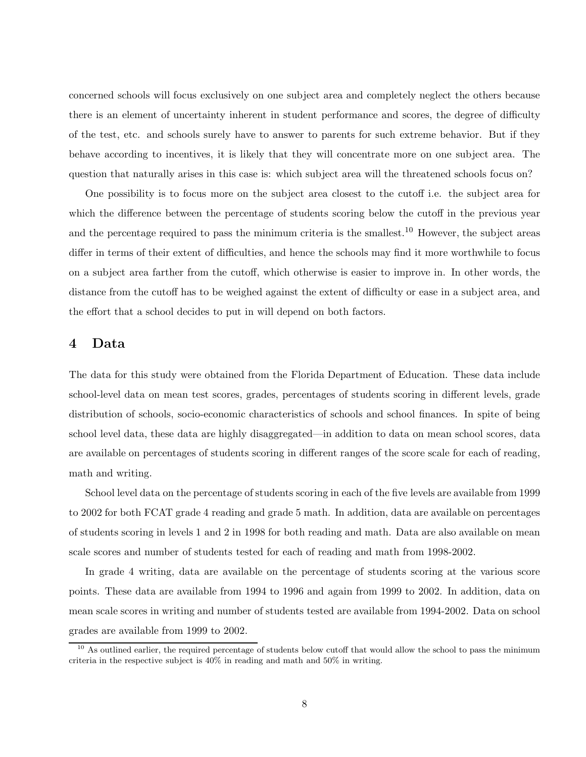concerned schools will focus exclusively on one subject area and completely neglect the others because there is an element of uncertainty inherent in student performance and scores, the degree of difficulty of the test, etc. and schools surely have to answer to parents for such extreme behavior. But if they behave according to incentives, it is likely that they will concentrate more on one subject area. The question that naturally arises in this case is: which subject area will the threatened schools focus on?

One possibility is to focus more on the subject area closest to the cutoff i.e. the subject area for which the difference between the percentage of students scoring below the cutoff in the previous year and the percentage required to pass the minimum criteria is the smallest.<sup>10</sup> However, the subject areas differ in terms of their extent of difficulties, and hence the schools may find it more worthwhile to focus on a subject area farther from the cutoff, which otherwise is easier to improve in. In other words, the distance from the cutoff has to be weighed against the extent of difficulty or ease in a subject area, and the effort that a school decides to put in will depend on both factors.

## **4 Data**

The data for this study were obtained from the Florida Department of Education. These data include school-level data on mean test scores, grades, percentages of students scoring in different levels, grade distribution of schools, socio-economic characteristics of schools and school finances. In spite of being school level data, these data are highly disaggregated—in addition to data on mean school scores, data are available on percentages of students scoring in different ranges of the score scale for each of reading, math and writing.

School level data on the percentage of students scoring in each of the five levels are available from 1999 to 2002 for both FCAT grade 4 reading and grade 5 math. In addition, data are available on percentages of students scoring in levels 1 and 2 in 1998 for both reading and math. Data are also available on mean scale scores and number of students tested for each of reading and math from 1998-2002.

In grade 4 writing, data are available on the percentage of students scoring at the various score points. These data are available from 1994 to 1996 and again from 1999 to 2002. In addition, data on mean scale scores in writing and number of students tested are available from 1994-2002. Data on school grades are available from 1999 to 2002.

 $10$  As outlined earlier, the required percentage of students below cutoff that would allow the school to pass the minimum criteria in the respective subject is 40% in reading and math and 50% in writing.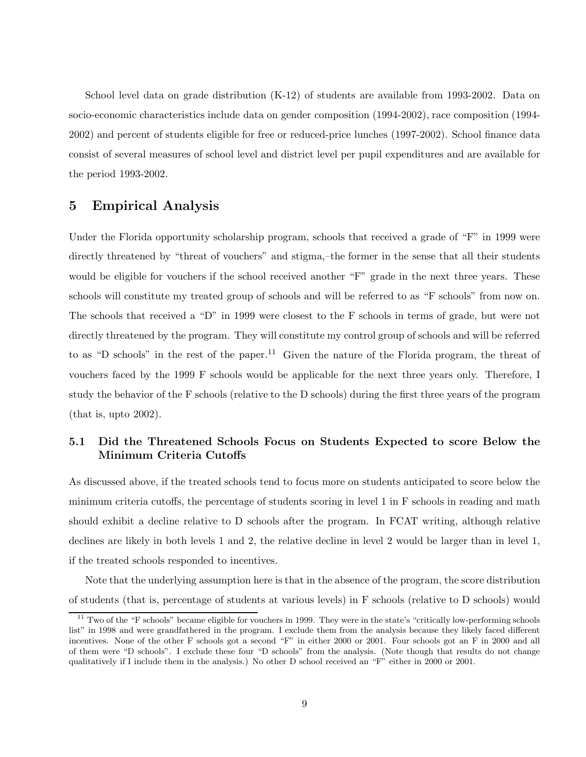School level data on grade distribution (K-12) of students are available from 1993-2002. Data on socio-economic characteristics include data on gender composition (1994-2002), race composition (1994- 2002) and percent of students eligible for free or reduced-price lunches (1997-2002). School finance data consist of several measures of school level and district level per pupil expenditures and are available for the period 1993-2002.

## **5 Empirical Analysis**

Under the Florida opportunity scholarship program, schools that received a grade of "F" in 1999 were directly threatened by "threat of vouchers" and stigma,–the former in the sense that all their students would be eligible for vouchers if the school received another "F" grade in the next three years. These schools will constitute my treated group of schools and will be referred to as "F schools" from now on. The schools that received a "D" in 1999 were closest to the F schools in terms of grade, but were not directly threatened by the program. They will constitute my control group of schools and will be referred to as "D schools" in the rest of the paper.<sup>11</sup> Given the nature of the Florida program, the threat of vouchers faced by the 1999 F schools would be applicable for the next three years only. Therefore, I study the behavior of the F schools (relative to the D schools) during the first three years of the program (that is, upto 2002).

## **5.1 Did the Threatened Schools Focus on Students Expected to score Below the Minimum Criteria Cutoffs**

As discussed above, if the treated schools tend to focus more on students anticipated to score below the minimum criteria cutoffs, the percentage of students scoring in level 1 in F schools in reading and math should exhibit a decline relative to D schools after the program. In FCAT writing, although relative declines are likely in both levels 1 and 2, the relative decline in level 2 would be larger than in level 1, if the treated schools responded to incentives.

Note that the underlying assumption here is that in the absence of the program, the score distribution of students (that is, percentage of students at various levels) in F schools (relative to D schools) would

 $11$  Two of the "F schools" became eligible for vouchers in 1999. They were in the state's "critically low-performing schools" list" in 1998 and were grandfathered in the program. I exclude them from the analysis because they likely faced different incentives. None of the other F schools got a second "F" in either 2000 or 2001. Four schools got an F in 2000 and all of them were "D schools". I exclude these four "D schools" from the analysis. (Note though that results do not change qualitatively if I include them in the analysis.) No other D school received an "F" either in 2000 or 2001.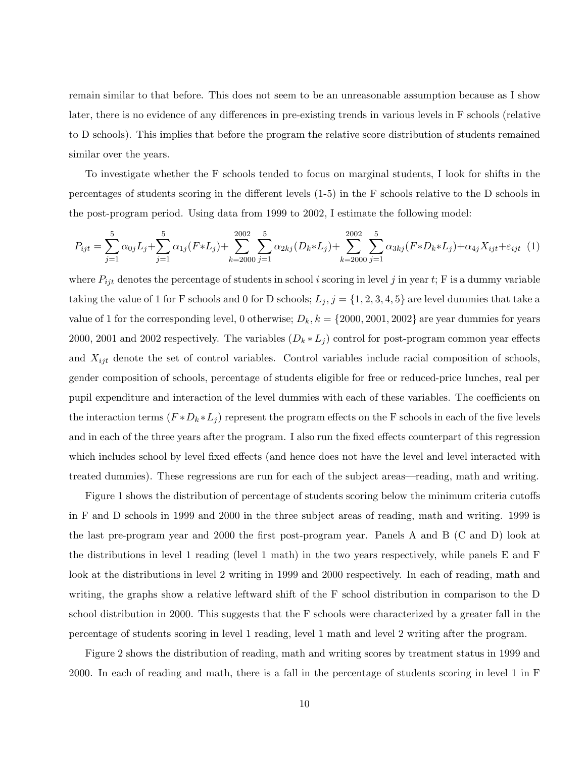remain similar to that before. This does not seem to be an unreasonable assumption because as I show later, there is no evidence of any differences in pre-existing trends in various levels in F schools (relative to D schools). This implies that before the program the relative score distribution of students remained similar over the years.

To investigate whether the F schools tended to focus on marginal students, I look for shifts in the percentages of students scoring in the different levels (1-5) in the F schools relative to the D schools in the post-program period. Using data from 1999 to 2002, I estimate the following model:

$$
P_{ijt} = \sum_{j=1}^{5} \alpha_{0j} L_j + \sum_{j=1}^{5} \alpha_{1j} (F \ast L_j) + \sum_{k=2000}^{2002} \sum_{j=1}^{5} \alpha_{2kj} (D_k \ast L_j) + \sum_{k=2000}^{2002} \sum_{j=1}^{5} \alpha_{3kj} (F \ast D_k \ast L_j) + \alpha_{4j} X_{ijt} + \varepsilon_{ijt} (1)
$$

where  $P_{ijt}$  denotes the percentage of students in school *i* scoring in level *j* in year *t*; F is a dummy variable taking the value of 1 for F schools and 0 for D schools;  $L_j$ ,  $j = \{1, 2, 3, 4, 5\}$  are level dummies that take a value of 1 for the corresponding level, 0 otherwise;  $D_k$ ,  $k = \{2000, 2001, 2002\}$  are year dummies for years 2000, 2001 and 2002 respectively. The variables  $(D_k * L_j)$  control for post-program common year effects and  $X_{ijt}$  denote the set of control variables. Control variables include racial composition of schools, gender composition of schools, percentage of students eligible for free or reduced-price lunches, real per pupil expenditure and interaction of the level dummies with each of these variables. The coefficients on the interaction terms  $(F*D_k*L_j)$  represent the program effects on the F schools in each of the five levels and in each of the three years after the program. I also run the fixed effects counterpart of this regression which includes school by level fixed effects (and hence does not have the level and level interacted with treated dummies). These regressions are run for each of the subject areas—reading, math and writing.

Figure 1 shows the distribution of percentage of students scoring below the minimum criteria cutoffs in F and D schools in 1999 and 2000 in the three subject areas of reading, math and writing. 1999 is the last pre-program year and 2000 the first post-program year. Panels A and B (C and D) look at the distributions in level 1 reading (level 1 math) in the two years respectively, while panels E and F look at the distributions in level 2 writing in 1999 and 2000 respectively. In each of reading, math and writing, the graphs show a relative leftward shift of the F school distribution in comparison to the D school distribution in 2000. This suggests that the F schools were characterized by a greater fall in the percentage of students scoring in level 1 reading, level 1 math and level 2 writing after the program.

Figure 2 shows the distribution of reading, math and writing scores by treatment status in 1999 and 2000. In each of reading and math, there is a fall in the percentage of students scoring in level 1 in F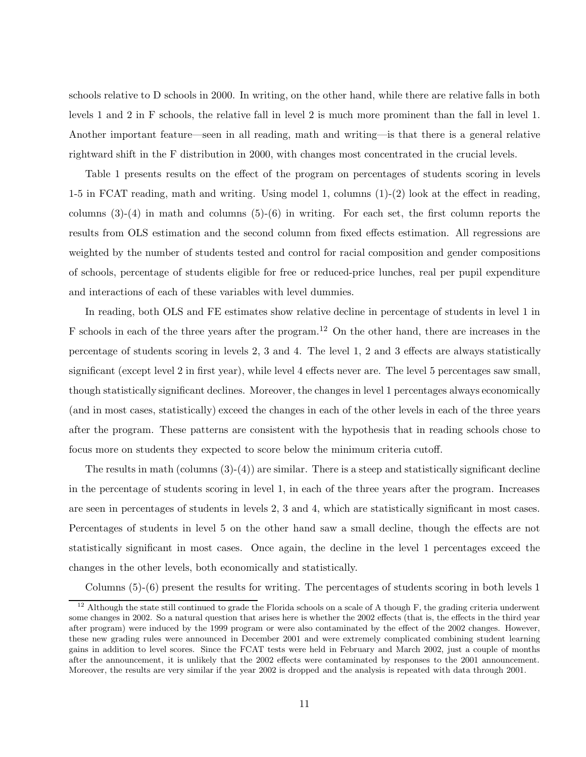schools relative to D schools in 2000. In writing, on the other hand, while there are relative falls in both levels 1 and 2 in F schools, the relative fall in level 2 is much more prominent than the fall in level 1. Another important feature—seen in all reading, math and writing—is that there is a general relative rightward shift in the F distribution in 2000, with changes most concentrated in the crucial levels.

Table 1 presents results on the effect of the program on percentages of students scoring in levels 1-5 in FCAT reading, math and writing. Using model 1, columns (1)-(2) look at the effect in reading, columns  $(3)-(4)$  in math and columns  $(5)-(6)$  in writing. For each set, the first column reports the results from OLS estimation and the second column from fixed effects estimation. All regressions are weighted by the number of students tested and control for racial composition and gender compositions of schools, percentage of students eligible for free or reduced-price lunches, real per pupil expenditure and interactions of each of these variables with level dummies.

In reading, both OLS and FE estimates show relative decline in percentage of students in level 1 in F schools in each of the three years after the program.<sup>12</sup> On the other hand, there are increases in the percentage of students scoring in levels 2, 3 and 4. The level 1, 2 and 3 effects are always statistically significant (except level 2 in first year), while level 4 effects never are. The level 5 percentages saw small, though statistically significant declines. Moreover, the changes in level 1 percentages always economically (and in most cases, statistically) exceed the changes in each of the other levels in each of the three years after the program. These patterns are consistent with the hypothesis that in reading schools chose to focus more on students they expected to score below the minimum criteria cutoff.

The results in math (columns  $(3)-(4)$ ) are similar. There is a steep and statistically significant decline in the percentage of students scoring in level 1, in each of the three years after the program. Increases are seen in percentages of students in levels 2, 3 and 4, which are statistically significant in most cases. Percentages of students in level 5 on the other hand saw a small decline, though the effects are not statistically significant in most cases. Once again, the decline in the level 1 percentages exceed the changes in the other levels, both economically and statistically.

Columns (5)-(6) present the results for writing. The percentages of students scoring in both levels 1

 $12$  Although the state still continued to grade the Florida schools on a scale of A though F, the grading criteria underwent some changes in 2002. So a natural question that arises here is whether the 2002 effects (that is, the effects in the third year after program) were induced by the 1999 program or were also contaminated by the effect of the 2002 changes. However, these new grading rules were announced in December 2001 and were extremely complicated combining student learning gains in addition to level scores. Since the FCAT tests were held in February and March 2002, just a couple of months after the announcement, it is unlikely that the 2002 effects were contaminated by responses to the 2001 announcement. Moreover, the results are very similar if the year 2002 is dropped and the analysis is repeated with data through 2001.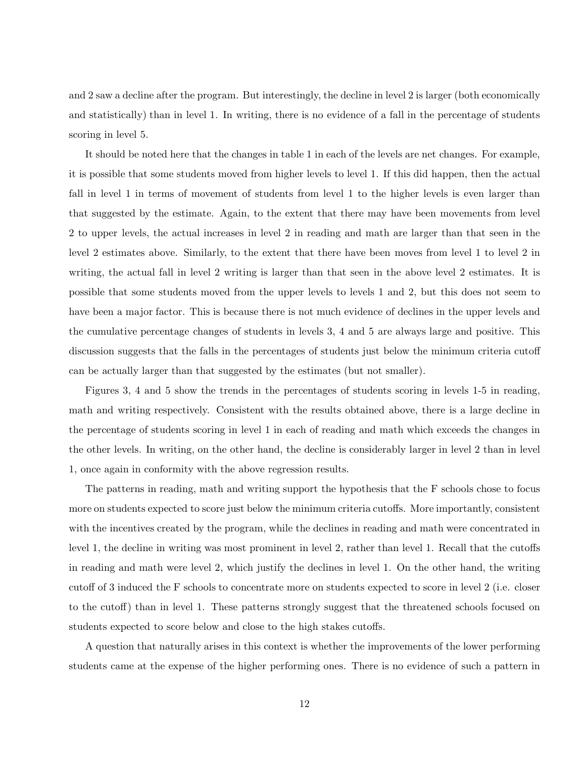and 2 saw a decline after the program. But interestingly, the decline in level 2 is larger (both economically and statistically) than in level 1. In writing, there is no evidence of a fall in the percentage of students scoring in level 5.

It should be noted here that the changes in table 1 in each of the levels are net changes. For example, it is possible that some students moved from higher levels to level 1. If this did happen, then the actual fall in level 1 in terms of movement of students from level 1 to the higher levels is even larger than that suggested by the estimate. Again, to the extent that there may have been movements from level 2 to upper levels, the actual increases in level 2 in reading and math are larger than that seen in the level 2 estimates above. Similarly, to the extent that there have been moves from level 1 to level 2 in writing, the actual fall in level 2 writing is larger than that seen in the above level 2 estimates. It is possible that some students moved from the upper levels to levels 1 and 2, but this does not seem to have been a major factor. This is because there is not much evidence of declines in the upper levels and the cumulative percentage changes of students in levels 3, 4 and 5 are always large and positive. This discussion suggests that the falls in the percentages of students just below the minimum criteria cutoff can be actually larger than that suggested by the estimates (but not smaller).

Figures 3, 4 and 5 show the trends in the percentages of students scoring in levels 1-5 in reading, math and writing respectively. Consistent with the results obtained above, there is a large decline in the percentage of students scoring in level 1 in each of reading and math which exceeds the changes in the other levels. In writing, on the other hand, the decline is considerably larger in level 2 than in level 1, once again in conformity with the above regression results.

The patterns in reading, math and writing support the hypothesis that the F schools chose to focus more on students expected to score just below the minimum criteria cutoffs. More importantly, consistent with the incentives created by the program, while the declines in reading and math were concentrated in level 1, the decline in writing was most prominent in level 2, rather than level 1. Recall that the cutoffs in reading and math were level 2, which justify the declines in level 1. On the other hand, the writing cutoff of 3 induced the F schools to concentrate more on students expected to score in level 2 (i.e. closer to the cutoff) than in level 1. These patterns strongly suggest that the threatened schools focused on students expected to score below and close to the high stakes cutoffs.

A question that naturally arises in this context is whether the improvements of the lower performing students came at the expense of the higher performing ones. There is no evidence of such a pattern in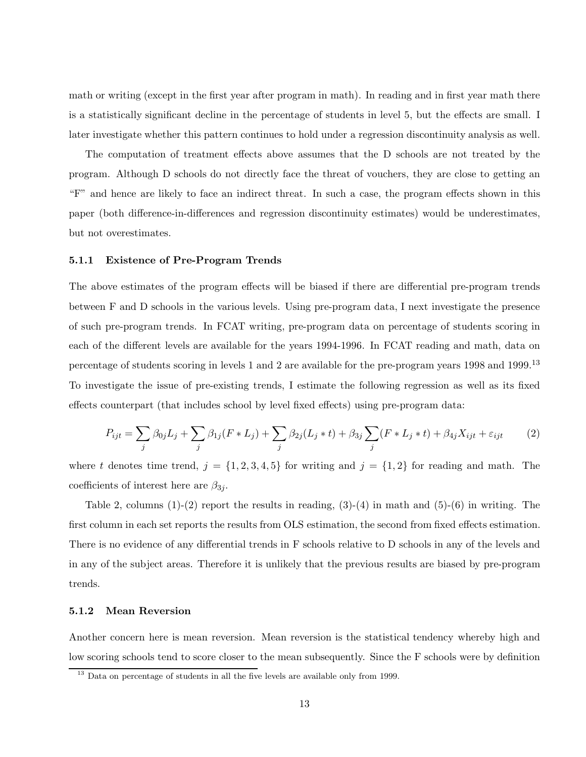math or writing (except in the first year after program in math). In reading and in first year math there is a statistically significant decline in the percentage of students in level 5, but the effects are small. I later investigate whether this pattern continues to hold under a regression discontinuity analysis as well.

The computation of treatment effects above assumes that the D schools are not treated by the program. Although D schools do not directly face the threat of vouchers, they are close to getting an "F" and hence are likely to face an indirect threat. In such a case, the program effects shown in this paper (both difference-in-differences and regression discontinuity estimates) would be underestimates, but not overestimates.

#### **5.1.1 Existence of Pre-Program Trends**

The above estimates of the program effects will be biased if there are differential pre-program trends between F and D schools in the various levels. Using pre-program data, I next investigate the presence of such pre-program trends. In FCAT writing, pre-program data on percentage of students scoring in each of the different levels are available for the years 1994-1996. In FCAT reading and math, data on percentage of students scoring in levels 1 and 2 are available for the pre-program years 1998 and 1999.<sup>13</sup> To investigate the issue of pre-existing trends, I estimate the following regression as well as its fixed effects counterpart (that includes school by level fixed effects) using pre-program data:

$$
P_{ijt} = \sum_{j} \beta_{0j} L_j + \sum_{j} \beta_{1j} (F * L_j) + \sum_{j} \beta_{2j} (L_j * t) + \beta_{3j} \sum_{j} (F * L_j * t) + \beta_{4j} X_{ijt} + \varepsilon_{ijt}
$$
 (2)

where t denotes time trend,  $j = \{1, 2, 3, 4, 5\}$  for writing and  $j = \{1, 2\}$  for reading and math. The coefficients of interest here are  $\beta_{3i}$ .

Table 2, columns  $(1)-(2)$  report the results in reading,  $(3)-(4)$  in math and  $(5)-(6)$  in writing. The first column in each set reports the results from OLS estimation, the second from fixed effects estimation. There is no evidence of any differential trends in F schools relative to D schools in any of the levels and in any of the subject areas. Therefore it is unlikely that the previous results are biased by pre-program trends.

#### **5.1.2 Mean Reversion**

Another concern here is mean reversion. Mean reversion is the statistical tendency whereby high and low scoring schools tend to score closer to the mean subsequently. Since the F schools were by definition

<sup>&</sup>lt;sup>13</sup> Data on percentage of students in all the five levels are available only from 1999.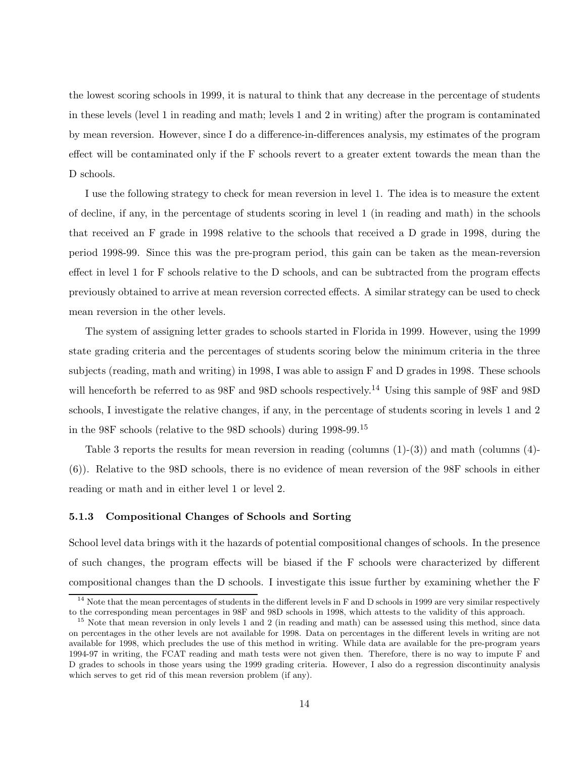the lowest scoring schools in 1999, it is natural to think that any decrease in the percentage of students in these levels (level 1 in reading and math; levels 1 and 2 in writing) after the program is contaminated by mean reversion. However, since I do a difference-in-differences analysis, my estimates of the program effect will be contaminated only if the F schools revert to a greater extent towards the mean than the D schools.

I use the following strategy to check for mean reversion in level 1. The idea is to measure the extent of decline, if any, in the percentage of students scoring in level 1 (in reading and math) in the schools that received an F grade in 1998 relative to the schools that received a D grade in 1998, during the period 1998-99. Since this was the pre-program period, this gain can be taken as the mean-reversion effect in level 1 for F schools relative to the D schools, and can be subtracted from the program effects previously obtained to arrive at mean reversion corrected effects. A similar strategy can be used to check mean reversion in the other levels.

The system of assigning letter grades to schools started in Florida in 1999. However, using the 1999 state grading criteria and the percentages of students scoring below the minimum criteria in the three subjects (reading, math and writing) in 1998, I was able to assign F and D grades in 1998. These schools will henceforth be referred to as 98F and 98D schools respectively.<sup>14</sup> Using this sample of 98F and 98D schools, I investigate the relative changes, if any, in the percentage of students scoring in levels 1 and 2 in the 98F schools (relative to the 98D schools) during 1998-99.<sup>15</sup>

Table 3 reports the results for mean reversion in reading (columns  $(1)-(3)$ ) and math (columns  $(4)$ -(6)). Relative to the 98D schools, there is no evidence of mean reversion of the 98F schools in either reading or math and in either level 1 or level 2.

#### **5.1.3 Compositional Changes of Schools and Sorting**

School level data brings with it the hazards of potential compositional changes of schools. In the presence of such changes, the program effects will be biased if the F schools were characterized by different compositional changes than the D schools. I investigate this issue further by examining whether the F

 $14$  Note that the mean percentages of students in the different levels in F and D schools in 1999 are very similar respectively to the corresponding mean percentages in 98F and 98D schools in 1998, which attests to the validity of this approach.

<sup>&</sup>lt;sup>15</sup> Note that mean reversion in only levels 1 and 2 (in reading and math) can be assessed using this method, since data on percentages in the other levels are not available for 1998. Data on percentages in the different levels in writing are not available for 1998, which precludes the use of this method in writing. While data are available for the pre-program years 1994-97 in writing, the FCAT reading and math tests were not given then. Therefore, there is no way to impute F and D grades to schools in those years using the 1999 grading criteria. However, I also do a regression discontinuity analysis which serves to get rid of this mean reversion problem (if any).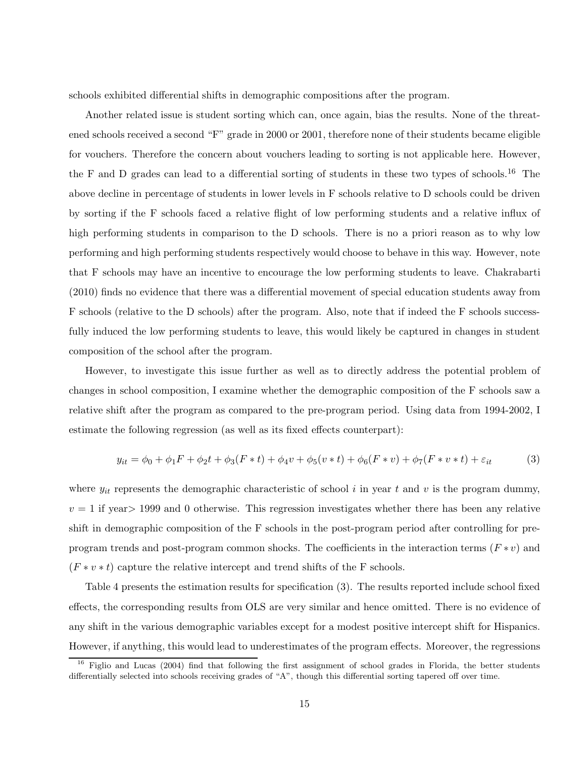schools exhibited differential shifts in demographic compositions after the program.

Another related issue is student sorting which can, once again, bias the results. None of the threatened schools received a second "F" grade in 2000 or 2001, therefore none of their students became eligible for vouchers. Therefore the concern about vouchers leading to sorting is not applicable here. However, the F and D grades can lead to a differential sorting of students in these two types of schools.<sup>16</sup> The above decline in percentage of students in lower levels in F schools relative to D schools could be driven by sorting if the F schools faced a relative flight of low performing students and a relative influx of high performing students in comparison to the D schools. There is no a priori reason as to why low performing and high performing students respectively would choose to behave in this way. However, note that F schools may have an incentive to encourage the low performing students to leave. Chakrabarti (2010) finds no evidence that there was a differential movement of special education students away from F schools (relative to the D schools) after the program. Also, note that if indeed the F schools successfully induced the low performing students to leave, this would likely be captured in changes in student composition of the school after the program.

However, to investigate this issue further as well as to directly address the potential problem of changes in school composition, I examine whether the demographic composition of the F schools saw a relative shift after the program as compared to the pre-program period. Using data from 1994-2002, I estimate the following regression (as well as its fixed effects counterpart):

$$
y_{it} = \phi_0 + \phi_1 F + \phi_2 t + \phi_3 (F * t) + \phi_4 v + \phi_5 (v * t) + \phi_6 (F * v) + \phi_7 (F * v * t) + \varepsilon_{it}
$$
(3)

where  $y_{it}$  represents the demographic characteristic of school i in year t and v is the program dummy,  $v = 1$  if year > 1999 and 0 otherwise. This regression investigates whether there has been any relative shift in demographic composition of the F schools in the post-program period after controlling for preprogram trends and post-program common shocks. The coefficients in the interaction terms  $(F * v)$  and  $(F * v * t)$  capture the relative intercept and trend shifts of the F schools.

Table 4 presents the estimation results for specification (3). The results reported include school fixed effects, the corresponding results from OLS are very similar and hence omitted. There is no evidence of any shift in the various demographic variables except for a modest positive intercept shift for Hispanics. However, if anything, this would lead to underestimates of the program effects. Moreover, the regressions

<sup>&</sup>lt;sup>16</sup> Figlio and Lucas (2004) find that following the first assignment of school grades in Florida, the better students differentially selected into schools receiving grades of "A", though this differential sorting tapered off over time.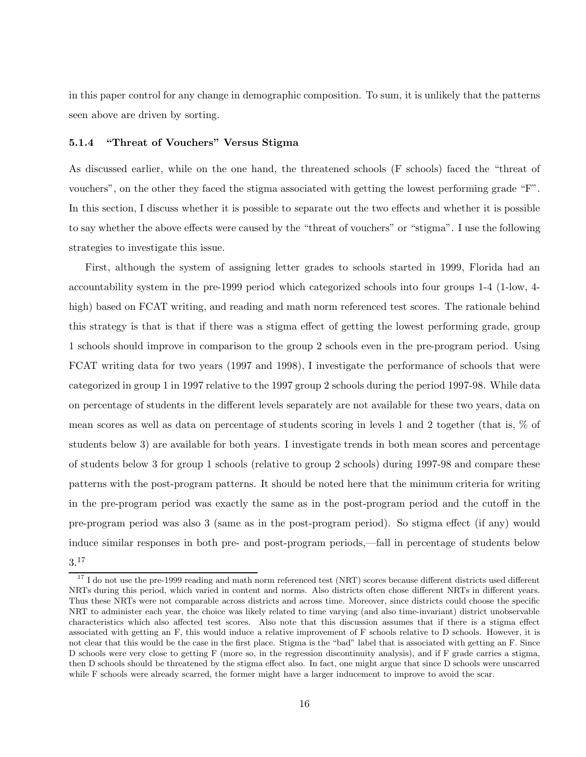in this paper control for any change in demographic composition. To sum, it is unlikely that the patterns seen above are driven by sorting.

#### **5.1.4 "Threat of Vouchers" Versus Stigma**

As discussed earlier, while on the one hand, the threatened schools (F schools) faced the "threat of vouchers", on the other they faced the stigma associated with getting the lowest performing grade "F". In this section, I discuss whether it is possible to separate out the two effects and whether it is possible to say whether the above effects were caused by the "threat of vouchers" or "stigma". I use the following strategies to investigate this issue.

First, although the system of assigning letter grades to schools started in 1999, Florida had an accountability system in the pre-1999 period which categorized schools into four groups 1-4 (1-low, 4 high) based on FCAT writing, and reading and math norm referenced test scores. The rationale behind this strategy is that is that if there was a stigma effect of getting the lowest performing grade, group 1 schools should improve in comparison to the group 2 schools even in the pre-program period. Using FCAT writing data for two years (1997 and 1998), I investigate the performance of schools that were categorized in group 1 in 1997 relative to the 1997 group 2 schools during the period 1997-98. While data on percentage of students in the different levels separately are not available for these two years, data on mean scores as well as data on percentage of students scoring in levels 1 and 2 together (that is, % of students below 3) are available for both years. I investigate trends in both mean scores and percentage of students below 3 for group 1 schools (relative to group 2 schools) during 1997-98 and compare these patterns with the post-program patterns. It should be noted here that the minimum criteria for writing in the pre-program period was exactly the same as in the post-program period and the cutoff in the pre-program period was also 3 (same as in the post-program period). So stigma effect (if any) would induce similar responses in both pre- and post-program periods,—fall in percentage of students below  $3^{17}$ 

 $17$  I do not use the pre-1999 reading and math norm referenced test (NRT) scores because different districts used different NRTs during this period, which varied in content and norms. Also districts often chose different NRTs in different years. Thus these NRTs were not comparable across districts and across time. Moreover, since districts could choose the specific NRT to administer each year, the choice was likely related to time varying (and also time-invariant) district unobservable characteristics which also affected test scores. Also note that this discussion assumes that if there is a stigma effect associated with getting an F, this would induce a relative improvement of F schools relative to D schools. However, it is not clear that this would be the case in the first place. Stigma is the "bad" label that is associated with getting an F. Since D schools were very close to getting F (more so, in the regression discontinuity analysis), and if F grade carries a stigma, then D schools should be threatened by the stigma effect also. In fact, one might argue that since D schools were unscarred while F schools were already scarred, the former might have a larger inducement to improve to avoid the scar.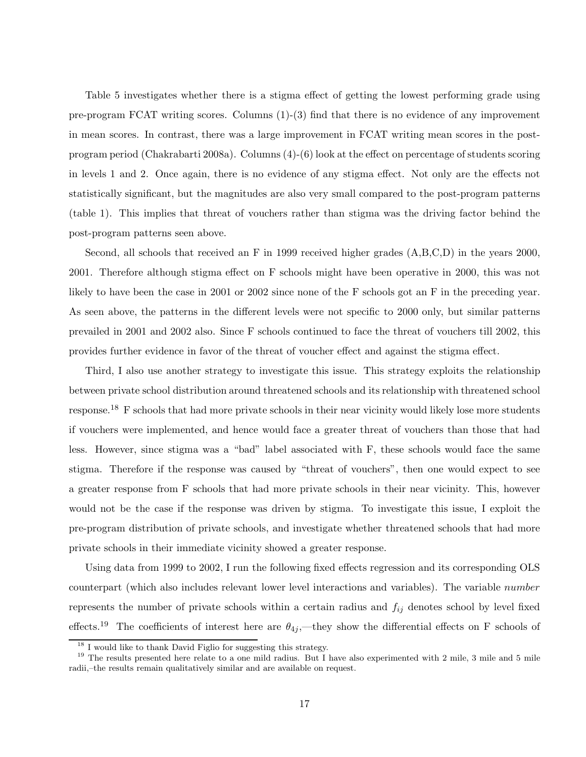Table 5 investigates whether there is a stigma effect of getting the lowest performing grade using pre-program FCAT writing scores. Columns (1)-(3) find that there is no evidence of any improvement in mean scores. In contrast, there was a large improvement in FCAT writing mean scores in the postprogram period (Chakrabarti 2008a). Columns (4)-(6) look at the effect on percentage of students scoring in levels 1 and 2. Once again, there is no evidence of any stigma effect. Not only are the effects not statistically significant, but the magnitudes are also very small compared to the post-program patterns (table 1). This implies that threat of vouchers rather than stigma was the driving factor behind the post-program patterns seen above.

Second, all schools that received an F in 1999 received higher grades (A,B,C,D) in the years 2000, 2001. Therefore although stigma effect on F schools might have been operative in 2000, this was not likely to have been the case in 2001 or 2002 since none of the F schools got an F in the preceding year. As seen above, the patterns in the different levels were not specific to 2000 only, but similar patterns prevailed in 2001 and 2002 also. Since F schools continued to face the threat of vouchers till 2002, this provides further evidence in favor of the threat of voucher effect and against the stigma effect.

Third, I also use another strategy to investigate this issue. This strategy exploits the relationship between private school distribution around threatened schools and its relationship with threatened school response.<sup>18</sup> F schools that had more private schools in their near vicinity would likely lose more students if vouchers were implemented, and hence would face a greater threat of vouchers than those that had less. However, since stigma was a "bad" label associated with F, these schools would face the same stigma. Therefore if the response was caused by "threat of vouchers", then one would expect to see a greater response from F schools that had more private schools in their near vicinity. This, however would not be the case if the response was driven by stigma. To investigate this issue, I exploit the pre-program distribution of private schools, and investigate whether threatened schools that had more private schools in their immediate vicinity showed a greater response.

Using data from 1999 to 2002, I run the following fixed effects regression and its corresponding OLS counterpart (which also includes relevant lower level interactions and variables). The variable number represents the number of private schools within a certain radius and  $f_{ij}$  denotes school by level fixed effects.<sup>19</sup> The coefficients of interest here are  $\theta_{4j}$ ,—they show the differential effects on F schools of

<sup>18</sup> I would like to thank David Figlio for suggesting this strategy.

<sup>&</sup>lt;sup>19</sup> The results presented here relate to a one mild radius. But I have also experimented with 2 mile, 3 mile and 5 mile radii,–the results remain qualitatively similar and are available on request.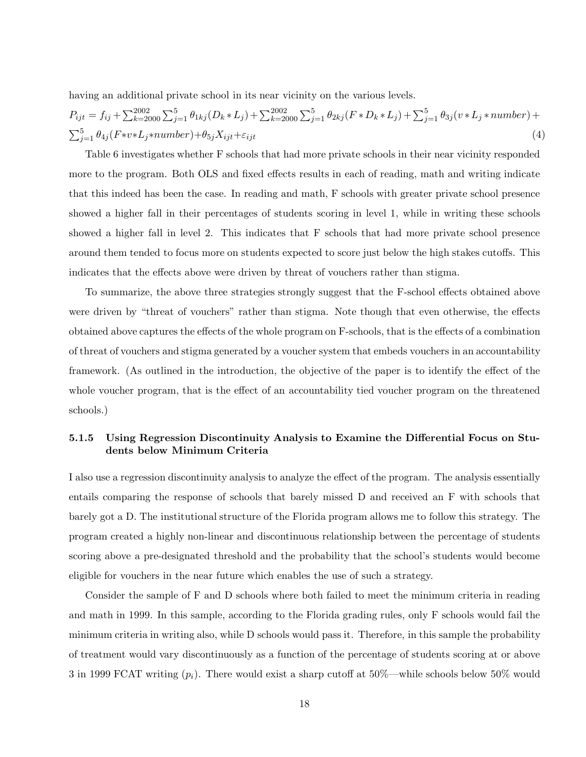having an additional private school in its near vicinity on the various levels.

$$
P_{ijt} = f_{ij} + \sum_{k=2000}^{2002} \sum_{j=1}^{5} \theta_{1kj} (D_k * L_j) + \sum_{k=2000}^{2002} \sum_{j=1}^{5} \theta_{2kj} (F * D_k * L_j) + \sum_{j=1}^{5} \theta_{3j} (v * L_j * number) + \sum_{j=1}^{5} \theta_{4j} (F * v * L_j * number) + \theta_{5j} X_{ijt} + \varepsilon_{ijt}
$$
\n
$$
(4)
$$

Table 6 investigates whether F schools that had more private schools in their near vicinity responded more to the program. Both OLS and fixed effects results in each of reading, math and writing indicate that this indeed has been the case. In reading and math, F schools with greater private school presence showed a higher fall in their percentages of students scoring in level 1, while in writing these schools showed a higher fall in level 2. This indicates that F schools that had more private school presence around them tended to focus more on students expected to score just below the high stakes cutoffs. This indicates that the effects above were driven by threat of vouchers rather than stigma.

To summarize, the above three strategies strongly suggest that the F-school effects obtained above were driven by "threat of vouchers" rather than stigma. Note though that even otherwise, the effects obtained above captures the effects of the whole program on F-schools, that is the effects of a combination of threat of vouchers and stigma generated by a voucher system that embeds vouchers in an accountability framework. (As outlined in the introduction, the objective of the paper is to identify the effect of the whole voucher program, that is the effect of an accountability tied voucher program on the threatened schools.)

## **5.1.5 Using Regression Discontinuity Analysis to Examine the Differential Focus on Students below Minimum Criteria**

I also use a regression discontinuity analysis to analyze the effect of the program. The analysis essentially entails comparing the response of schools that barely missed D and received an F with schools that barely got a D. The institutional structure of the Florida program allows me to follow this strategy. The program created a highly non-linear and discontinuous relationship between the percentage of students scoring above a pre-designated threshold and the probability that the school's students would become eligible for vouchers in the near future which enables the use of such a strategy.

Consider the sample of F and D schools where both failed to meet the minimum criteria in reading and math in 1999. In this sample, according to the Florida grading rules, only F schools would fail the minimum criteria in writing also, while D schools would pass it. Therefore, in this sample the probability of treatment would vary discontinuously as a function of the percentage of students scoring at or above 3 in 1999 FCAT writing  $(p_i)$ . There would exist a sharp cutoff at 50%—while schools below 50% would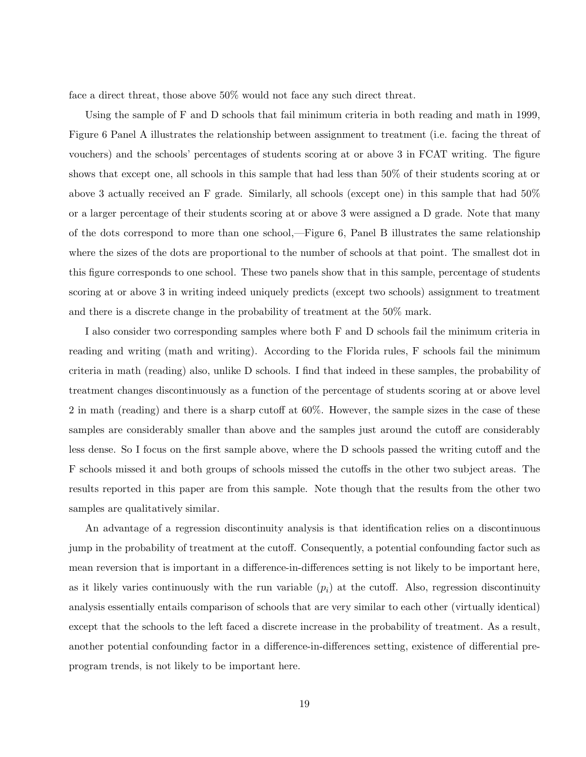face a direct threat, those above 50% would not face any such direct threat.

Using the sample of F and D schools that fail minimum criteria in both reading and math in 1999, Figure 6 Panel A illustrates the relationship between assignment to treatment (i.e. facing the threat of vouchers) and the schools' percentages of students scoring at or above 3 in FCAT writing. The figure shows that except one, all schools in this sample that had less than 50% of their students scoring at or above 3 actually received an F grade. Similarly, all schools (except one) in this sample that had 50% or a larger percentage of their students scoring at or above 3 were assigned a D grade. Note that many of the dots correspond to more than one school,—Figure 6, Panel B illustrates the same relationship where the sizes of the dots are proportional to the number of schools at that point. The smallest dot in this figure corresponds to one school. These two panels show that in this sample, percentage of students scoring at or above 3 in writing indeed uniquely predicts (except two schools) assignment to treatment and there is a discrete change in the probability of treatment at the 50% mark.

I also consider two corresponding samples where both F and D schools fail the minimum criteria in reading and writing (math and writing). According to the Florida rules, F schools fail the minimum criteria in math (reading) also, unlike D schools. I find that indeed in these samples, the probability of treatment changes discontinuously as a function of the percentage of students scoring at or above level 2 in math (reading) and there is a sharp cutoff at 60%. However, the sample sizes in the case of these samples are considerably smaller than above and the samples just around the cutoff are considerably less dense. So I focus on the first sample above, where the D schools passed the writing cutoff and the F schools missed it and both groups of schools missed the cutoffs in the other two subject areas. The results reported in this paper are from this sample. Note though that the results from the other two samples are qualitatively similar.

An advantage of a regression discontinuity analysis is that identification relies on a discontinuous jump in the probability of treatment at the cutoff. Consequently, a potential confounding factor such as mean reversion that is important in a difference-in-differences setting is not likely to be important here, as it likely varies continuously with the run variable  $(p_i)$  at the cutoff. Also, regression discontinuity analysis essentially entails comparison of schools that are very similar to each other (virtually identical) except that the schools to the left faced a discrete increase in the probability of treatment. As a result, another potential confounding factor in a difference-in-differences setting, existence of differential preprogram trends, is not likely to be important here.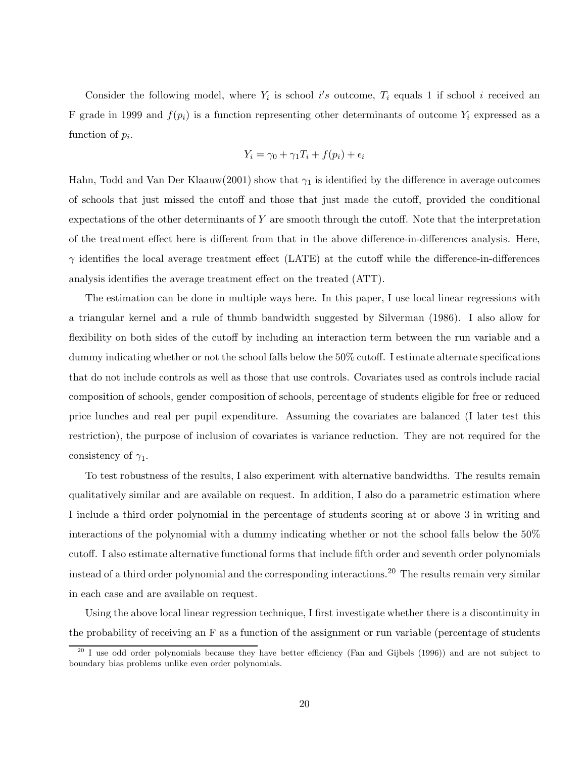Consider the following model, where  $Y_i$  is school i's outcome,  $T_i$  equals 1 if school i received an F grade in 1999 and  $f(p_i)$  is a function representing other determinants of outcome  $Y_i$  expressed as a function of  $p_i$ .

$$
Y_i = \gamma_0 + \gamma_1 T_i + f(p_i) + \epsilon_i
$$

Hahn, Todd and Van Der Klaauw(2001) show that  $\gamma_1$  is identified by the difference in average outcomes of schools that just missed the cutoff and those that just made the cutoff, provided the conditional expectations of the other determinants of Y are smooth through the cutoff. Note that the interpretation of the treatment effect here is different from that in the above difference-in-differences analysis. Here,  $\gamma$  identifies the local average treatment effect (LATE) at the cutoff while the difference-in-differences analysis identifies the average treatment effect on the treated (ATT).

The estimation can be done in multiple ways here. In this paper, I use local linear regressions with a triangular kernel and a rule of thumb bandwidth suggested by Silverman (1986). I also allow for flexibility on both sides of the cutoff by including an interaction term between the run variable and a dummy indicating whether or not the school falls below the 50% cutoff. I estimate alternate specifications that do not include controls as well as those that use controls. Covariates used as controls include racial composition of schools, gender composition of schools, percentage of students eligible for free or reduced price lunches and real per pupil expenditure. Assuming the covariates are balanced (I later test this restriction), the purpose of inclusion of covariates is variance reduction. They are not required for the consistency of  $\gamma_1$ .

To test robustness of the results, I also experiment with alternative bandwidths. The results remain qualitatively similar and are available on request. In addition, I also do a parametric estimation where I include a third order polynomial in the percentage of students scoring at or above 3 in writing and interactions of the polynomial with a dummy indicating whether or not the school falls below the 50% cutoff. I also estimate alternative functional forms that include fifth order and seventh order polynomials instead of a third order polynomial and the corresponding interactions.<sup>20</sup> The results remain very similar in each case and are available on request.

Using the above local linear regression technique, I first investigate whether there is a discontinuity in the probability of receiving an F as a function of the assignment or run variable (percentage of students

 $20$  I use odd order polynomials because they have better efficiency (Fan and Gijbels (1996)) and are not subject to boundary bias problems unlike even order polynomials.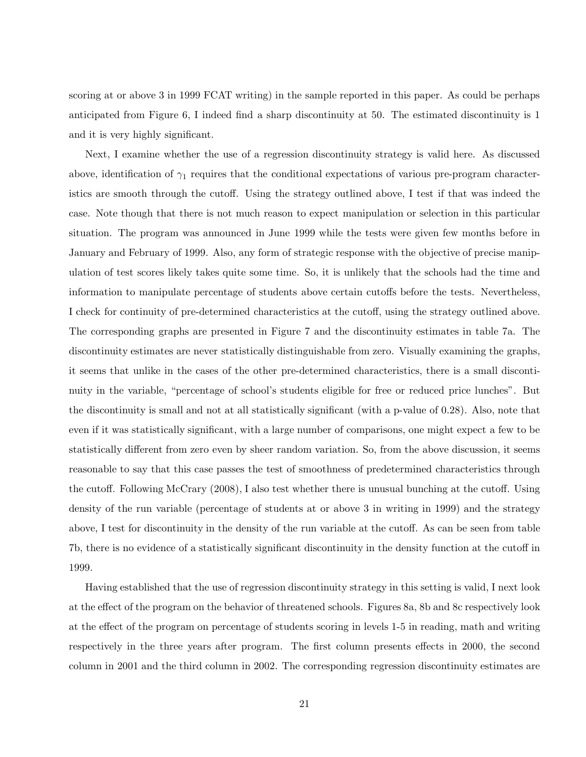scoring at or above 3 in 1999 FCAT writing) in the sample reported in this paper. As could be perhaps anticipated from Figure 6, I indeed find a sharp discontinuity at 50. The estimated discontinuity is 1 and it is very highly significant.

Next, I examine whether the use of a regression discontinuity strategy is valid here. As discussed above, identification of  $\gamma_1$  requires that the conditional expectations of various pre-program characteristics are smooth through the cutoff. Using the strategy outlined above, I test if that was indeed the case. Note though that there is not much reason to expect manipulation or selection in this particular situation. The program was announced in June 1999 while the tests were given few months before in January and February of 1999. Also, any form of strategic response with the objective of precise manipulation of test scores likely takes quite some time. So, it is unlikely that the schools had the time and information to manipulate percentage of students above certain cutoffs before the tests. Nevertheless, I check for continuity of pre-determined characteristics at the cutoff, using the strategy outlined above. The corresponding graphs are presented in Figure 7 and the discontinuity estimates in table 7a. The discontinuity estimates are never statistically distinguishable from zero. Visually examining the graphs, it seems that unlike in the cases of the other pre-determined characteristics, there is a small discontinuity in the variable, "percentage of school's students eligible for free or reduced price lunches". But the discontinuity is small and not at all statistically significant (with a p-value of 0.28). Also, note that even if it was statistically significant, with a large number of comparisons, one might expect a few to be statistically different from zero even by sheer random variation. So, from the above discussion, it seems reasonable to say that this case passes the test of smoothness of predetermined characteristics through the cutoff. Following McCrary (2008), I also test whether there is unusual bunching at the cutoff. Using density of the run variable (percentage of students at or above 3 in writing in 1999) and the strategy above, I test for discontinuity in the density of the run variable at the cutoff. As can be seen from table 7b, there is no evidence of a statistically significant discontinuity in the density function at the cutoff in 1999.

Having established that the use of regression discontinuity strategy in this setting is valid, I next look at the effect of the program on the behavior of threatened schools. Figures 8a, 8b and 8c respectively look at the effect of the program on percentage of students scoring in levels 1-5 in reading, math and writing respectively in the three years after program. The first column presents effects in 2000, the second column in 2001 and the third column in 2002. The corresponding regression discontinuity estimates are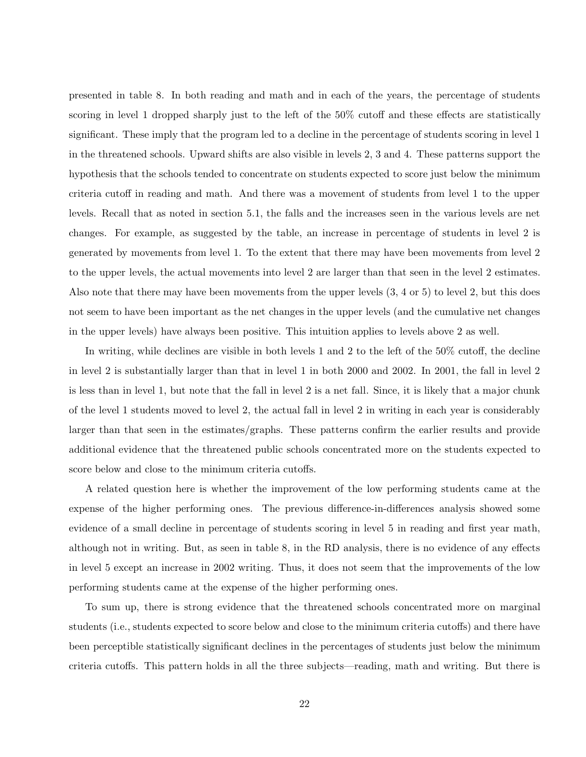presented in table 8. In both reading and math and in each of the years, the percentage of students scoring in level 1 dropped sharply just to the left of the 50% cutoff and these effects are statistically significant. These imply that the program led to a decline in the percentage of students scoring in level 1 in the threatened schools. Upward shifts are also visible in levels 2, 3 and 4. These patterns support the hypothesis that the schools tended to concentrate on students expected to score just below the minimum criteria cutoff in reading and math. And there was a movement of students from level 1 to the upper levels. Recall that as noted in section 5.1, the falls and the increases seen in the various levels are net changes. For example, as suggested by the table, an increase in percentage of students in level 2 is generated by movements from level 1. To the extent that there may have been movements from level 2 to the upper levels, the actual movements into level 2 are larger than that seen in the level 2 estimates. Also note that there may have been movements from the upper levels (3, 4 or 5) to level 2, but this does not seem to have been important as the net changes in the upper levels (and the cumulative net changes in the upper levels) have always been positive. This intuition applies to levels above 2 as well.

In writing, while declines are visible in both levels 1 and 2 to the left of the 50% cutoff, the decline in level 2 is substantially larger than that in level 1 in both 2000 and 2002. In 2001, the fall in level 2 is less than in level 1, but note that the fall in level 2 is a net fall. Since, it is likely that a major chunk of the level 1 students moved to level 2, the actual fall in level 2 in writing in each year is considerably larger than that seen in the estimates/graphs. These patterns confirm the earlier results and provide additional evidence that the threatened public schools concentrated more on the students expected to score below and close to the minimum criteria cutoffs.

A related question here is whether the improvement of the low performing students came at the expense of the higher performing ones. The previous difference-in-differences analysis showed some evidence of a small decline in percentage of students scoring in level 5 in reading and first year math, although not in writing. But, as seen in table 8, in the RD analysis, there is no evidence of any effects in level 5 except an increase in 2002 writing. Thus, it does not seem that the improvements of the low performing students came at the expense of the higher performing ones.

To sum up, there is strong evidence that the threatened schools concentrated more on marginal students (i.e., students expected to score below and close to the minimum criteria cutoffs) and there have been perceptible statistically significant declines in the percentages of students just below the minimum criteria cutoffs. This pattern holds in all the three subjects—reading, math and writing. But there is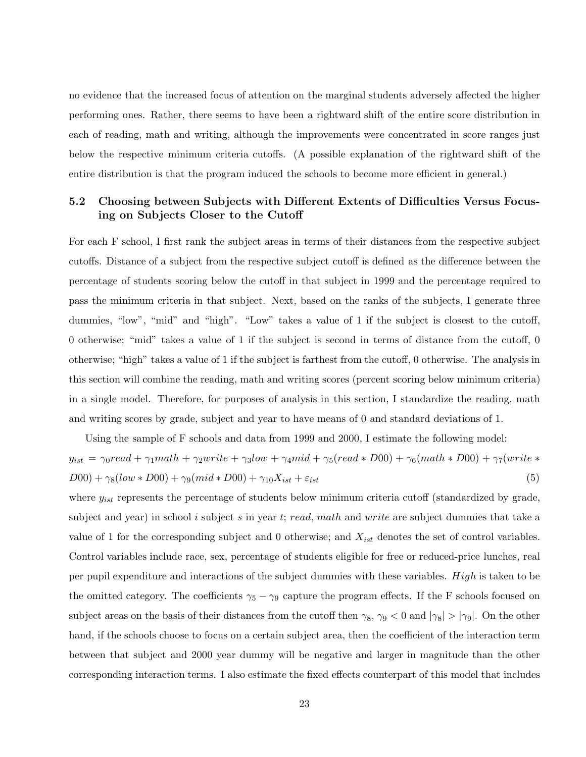no evidence that the increased focus of attention on the marginal students adversely affected the higher performing ones. Rather, there seems to have been a rightward shift of the entire score distribution in each of reading, math and writing, although the improvements were concentrated in score ranges just below the respective minimum criteria cutoffs. (A possible explanation of the rightward shift of the entire distribution is that the program induced the schools to become more efficient in general.)

## **5.2 Choosing between Subjects with Different Extents of Difficulties Versus Focusing on Subjects Closer to the Cutoff**

For each F school, I first rank the subject areas in terms of their distances from the respective subject cutoffs. Distance of a subject from the respective subject cutoff is defined as the difference between the percentage of students scoring below the cutoff in that subject in 1999 and the percentage required to pass the minimum criteria in that subject. Next, based on the ranks of the subjects, I generate three dummies, "low", "mid" and "high". "Low" takes a value of 1 if the subject is closest to the cutoff, 0 otherwise; "mid" takes a value of 1 if the subject is second in terms of distance from the cutoff, 0 otherwise; "high" takes a value of 1 if the subject is farthest from the cutoff, 0 otherwise. The analysis in this section will combine the reading, math and writing scores (percent scoring below minimum criteria) in a single model. Therefore, for purposes of analysis in this section, I standardize the reading, math and writing scores by grade, subject and year to have means of 0 and standard deviations of 1.

Using the sample of F schools and data from 1999 and 2000, I estimate the following model:  $y_{ist} = \gamma_0 read + \gamma_1 math + \gamma_2 write + \gamma_3 low + \gamma_4 mid + \gamma_5 (read * D00) + \gamma_6 (math * D00) + \gamma_7 (write *$  $D00$ ) +  $\gamma_8(low * D00)$  +  $\gamma_9(mid * D00)$  +  $\gamma_{10}X_{ist}$  +  $\varepsilon_{ist}$  (5)

where  $y_{ist}$  represents the percentage of students below minimum criteria cutoff (standardized by grade, subject and year) in school i subject s in year t; read, math and write are subject dummies that take a value of 1 for the corresponding subject and 0 otherwise; and  $X_{ist}$  denotes the set of control variables. Control variables include race, sex, percentage of students eligible for free or reduced-price lunches, real per pupil expenditure and interactions of the subject dummies with these variables.  $High$  is taken to be the omitted category. The coefficients  $\gamma_5 - \gamma_9$  capture the program effects. If the F schools focused on subject areas on the basis of their distances from the cutoff then  $\gamma_8$ ,  $\gamma_9 < 0$  and  $|\gamma_8| > |\gamma_9|$ . On the other hand, if the schools choose to focus on a certain subject area, then the coefficient of the interaction term between that subject and 2000 year dummy will be negative and larger in magnitude than the other corresponding interaction terms. I also estimate the fixed effects counterpart of this model that includes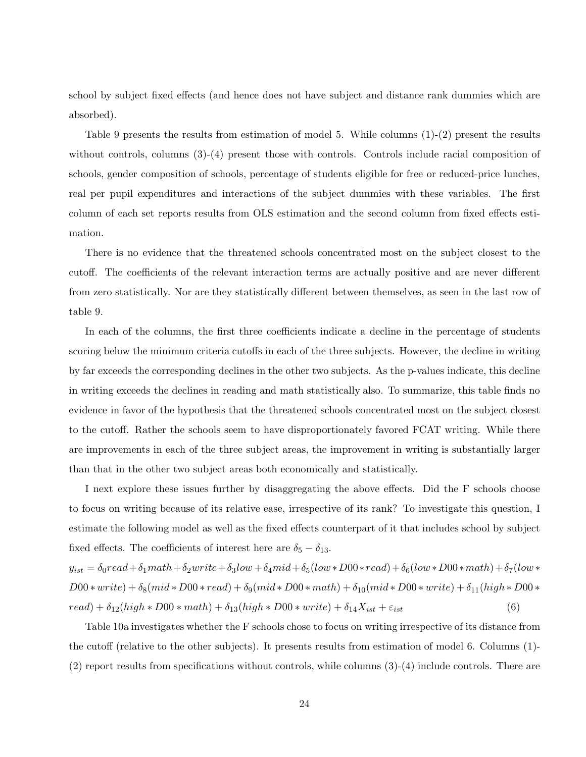school by subject fixed effects (and hence does not have subject and distance rank dummies which are absorbed).

Table 9 presents the results from estimation of model 5. While columns (1)-(2) present the results without controls, columns  $(3)-(4)$  present those with controls. Controls include racial composition of schools, gender composition of schools, percentage of students eligible for free or reduced-price lunches, real per pupil expenditures and interactions of the subject dummies with these variables. The first column of each set reports results from OLS estimation and the second column from fixed effects estimation.

There is no evidence that the threatened schools concentrated most on the subject closest to the cutoff. The coefficients of the relevant interaction terms are actually positive and are never different from zero statistically. Nor are they statistically different between themselves, as seen in the last row of table 9.

In each of the columns, the first three coefficients indicate a decline in the percentage of students scoring below the minimum criteria cutoffs in each of the three subjects. However, the decline in writing by far exceeds the corresponding declines in the other two subjects. As the p-values indicate, this decline in writing exceeds the declines in reading and math statistically also. To summarize, this table finds no evidence in favor of the hypothesis that the threatened schools concentrated most on the subject closest to the cutoff. Rather the schools seem to have disproportionately favored FCAT writing. While there are improvements in each of the three subject areas, the improvement in writing is substantially larger than that in the other two subject areas both economically and statistically.

I next explore these issues further by disaggregating the above effects. Did the F schools choose to focus on writing because of its relative ease, irrespective of its rank? To investigate this question, I estimate the following model as well as the fixed effects counterpart of it that includes school by subject fixed effects. The coefficients of interest here are  $\delta_5 - \delta_{13}$ .

 $y_{ist} = \delta_0 read+\delta_1 math+\delta_2 write+\delta_3 low+\delta_4 mid+\delta_5 (low*D00*read)+\delta_6 (low*D00*math)+\delta_7 (low*p00*depth)+\delta_8 (low*p00*depth)+\delta_9 (low*p00*depth)+\delta_9 (low*p00*eth)+\delta_9 (low*p00*eth)+\delta_9 (low*p00*eth)+\delta_9 (low*p00*eth)+\delta_9 (low*p00*eth)+\delta_9 (low*p00*eth)+\delta_9 (low*p00*eth)+\delta_9 (low*p00*eth)+\delta_9 (low*p00*eth)+\delta_9 (low*p00*eth)+\delta_9 (low*p00*$  $D00*write) + \delta_8(mid*D00*read) + \delta_9(mid*D00*math) + \delta_{10}(mid*D00*write) + \delta_{11}(high*D00*% = 0$  $read) + \delta_{12}(high * D00 * math) + \delta_{13}(high * D00 * write) + \delta_{14}X_{ist} + \varepsilon_{ist}$  (6)

Table 10a investigates whether the F schools chose to focus on writing irrespective of its distance from the cutoff (relative to the other subjects). It presents results from estimation of model 6. Columns (1)- (2) report results from specifications without controls, while columns (3)-(4) include controls. There are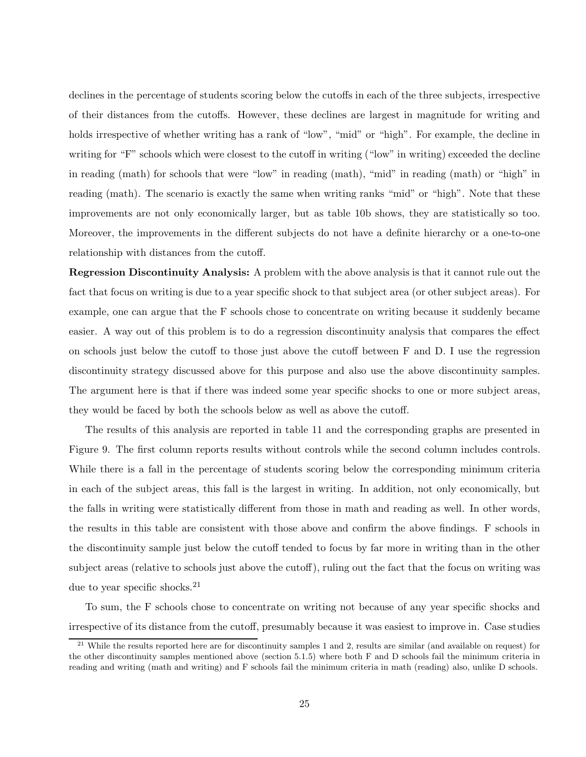declines in the percentage of students scoring below the cutoffs in each of the three subjects, irrespective of their distances from the cutoffs. However, these declines are largest in magnitude for writing and holds irrespective of whether writing has a rank of "low", "mid" or "high". For example, the decline in writing for "F" schools which were closest to the cutoff in writing ("low" in writing) exceeded the decline in reading (math) for schools that were "low" in reading (math), "mid" in reading (math) or "high" in reading (math). The scenario is exactly the same when writing ranks "mid" or "high". Note that these improvements are not only economically larger, but as table 10b shows, they are statistically so too. Moreover, the improvements in the different subjects do not have a definite hierarchy or a one-to-one relationship with distances from the cutoff.

**Regression Discontinuity Analysis:** A problem with the above analysis is that it cannot rule out the fact that focus on writing is due to a year specific shock to that subject area (or other subject areas). For example, one can argue that the F schools chose to concentrate on writing because it suddenly became easier. A way out of this problem is to do a regression discontinuity analysis that compares the effect on schools just below the cutoff to those just above the cutoff between F and D. I use the regression discontinuity strategy discussed above for this purpose and also use the above discontinuity samples. The argument here is that if there was indeed some year specific shocks to one or more subject areas, they would be faced by both the schools below as well as above the cutoff.

The results of this analysis are reported in table 11 and the corresponding graphs are presented in Figure 9. The first column reports results without controls while the second column includes controls. While there is a fall in the percentage of students scoring below the corresponding minimum criteria in each of the subject areas, this fall is the largest in writing. In addition, not only economically, but the falls in writing were statistically different from those in math and reading as well. In other words, the results in this table are consistent with those above and confirm the above findings. F schools in the discontinuity sample just below the cutoff tended to focus by far more in writing than in the other subject areas (relative to schools just above the cutoff), ruling out the fact that the focus on writing was due to year specific shocks. $^{21}$ 

To sum, the F schools chose to concentrate on writing not because of any year specific shocks and irrespective of its distance from the cutoff, presumably because it was easiest to improve in. Case studies

<sup>&</sup>lt;sup>21</sup> While the results reported here are for discontinuity samples 1 and 2, results are similar (and available on request) for the other discontinuity samples mentioned above (section 5.1.5) where both F and D schools fail the minimum criteria in reading and writing (math and writing) and F schools fail the minimum criteria in math (reading) also, unlike D schools.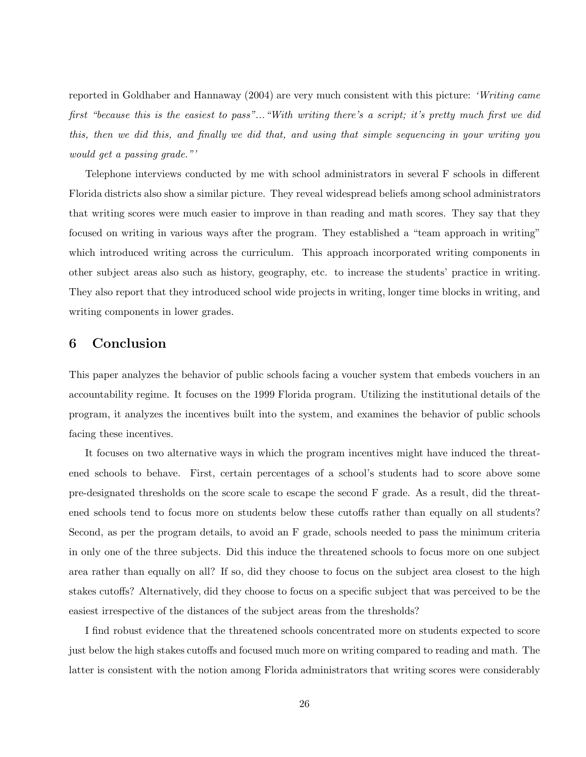reported in Goldhaber and Hannaway (2004) are very much consistent with this picture: 'Writing came first "because this is the easiest to pass"..."With writing there's a script; it's pretty much first we did this, then we did this, and finally we did that, and using that simple sequencing in your writing you would get a passing grade."'

Telephone interviews conducted by me with school administrators in several F schools in different Florida districts also show a similar picture. They reveal widespread beliefs among school administrators that writing scores were much easier to improve in than reading and math scores. They say that they focused on writing in various ways after the program. They established a "team approach in writing" which introduced writing across the curriculum. This approach incorporated writing components in other subject areas also such as history, geography, etc. to increase the students' practice in writing. They also report that they introduced school wide projects in writing, longer time blocks in writing, and writing components in lower grades.

## **6 Conclusion**

This paper analyzes the behavior of public schools facing a voucher system that embeds vouchers in an accountability regime. It focuses on the 1999 Florida program. Utilizing the institutional details of the program, it analyzes the incentives built into the system, and examines the behavior of public schools facing these incentives.

It focuses on two alternative ways in which the program incentives might have induced the threatened schools to behave. First, certain percentages of a school's students had to score above some pre-designated thresholds on the score scale to escape the second F grade. As a result, did the threatened schools tend to focus more on students below these cutoffs rather than equally on all students? Second, as per the program details, to avoid an F grade, schools needed to pass the minimum criteria in only one of the three subjects. Did this induce the threatened schools to focus more on one subject area rather than equally on all? If so, did they choose to focus on the subject area closest to the high stakes cutoffs? Alternatively, did they choose to focus on a specific subject that was perceived to be the easiest irrespective of the distances of the subject areas from the thresholds?

I find robust evidence that the threatened schools concentrated more on students expected to score just below the high stakes cutoffs and focused much more on writing compared to reading and math. The latter is consistent with the notion among Florida administrators that writing scores were considerably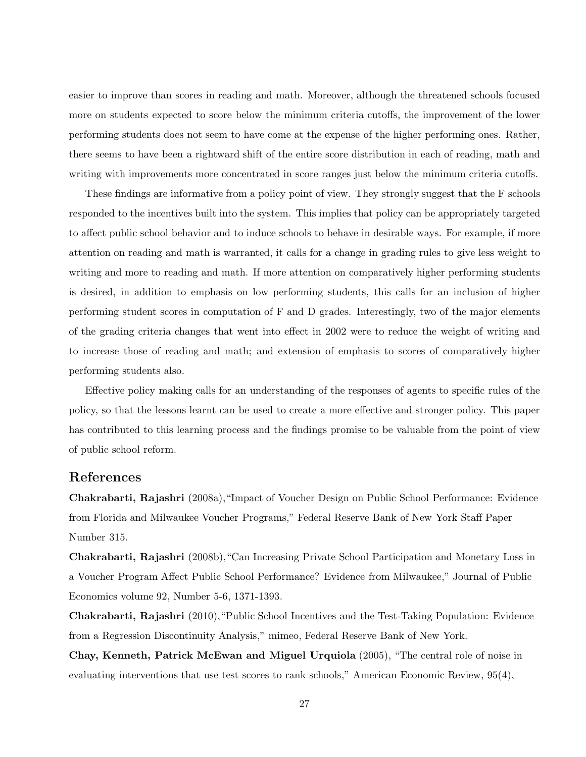easier to improve than scores in reading and math. Moreover, although the threatened schools focused more on students expected to score below the minimum criteria cutoffs, the improvement of the lower performing students does not seem to have come at the expense of the higher performing ones. Rather, there seems to have been a rightward shift of the entire score distribution in each of reading, math and writing with improvements more concentrated in score ranges just below the minimum criteria cutoffs.

These findings are informative from a policy point of view. They strongly suggest that the F schools responded to the incentives built into the system. This implies that policy can be appropriately targeted to affect public school behavior and to induce schools to behave in desirable ways. For example, if more attention on reading and math is warranted, it calls for a change in grading rules to give less weight to writing and more to reading and math. If more attention on comparatively higher performing students is desired, in addition to emphasis on low performing students, this calls for an inclusion of higher performing student scores in computation of F and D grades. Interestingly, two of the major elements of the grading criteria changes that went into effect in 2002 were to reduce the weight of writing and to increase those of reading and math; and extension of emphasis to scores of comparatively higher performing students also.

Effective policy making calls for an understanding of the responses of agents to specific rules of the policy, so that the lessons learnt can be used to create a more effective and stronger policy. This paper has contributed to this learning process and the findings promise to be valuable from the point of view of public school reform.

## **References**

**Chakrabarti, Rajashri** (2008a),"Impact of Voucher Design on Public School Performance: Evidence from Florida and Milwaukee Voucher Programs," Federal Reserve Bank of New York Staff Paper Number 315.

**Chakrabarti, Rajashri** (2008b),"Can Increasing Private School Participation and Monetary Loss in a Voucher Program Affect Public School Performance? Evidence from Milwaukee," Journal of Public Economics volume 92, Number 5-6, 1371-1393.

**Chakrabarti, Rajashri** (2010),"Public School Incentives and the Test-Taking Population: Evidence from a Regression Discontinuity Analysis," mimeo, Federal Reserve Bank of New York.

**Chay, Kenneth, Patrick McEwan and Miguel Urquiola** (2005), "The central role of noise in evaluating interventions that use test scores to rank schools," American Economic Review, 95(4),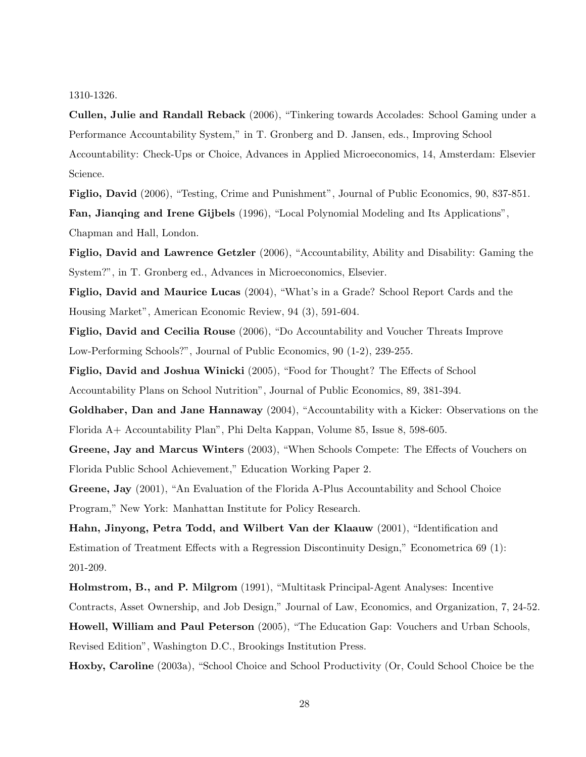#### 1310-1326.

**Cullen, Julie and Randall Reback** (2006), "Tinkering towards Accolades: School Gaming under a Performance Accountability System," in T. Gronberg and D. Jansen, eds., Improving School Accountability: Check-Ups or Choice, Advances in Applied Microeconomics, 14, Amsterdam: Elsevier Science.

**Figlio, David** (2006), "Testing, Crime and Punishment", Journal of Public Economics, 90, 837-851. **Fan, Jianqing and Irene Gijbels** (1996), "Local Polynomial Modeling and Its Applications", Chapman and Hall, London.

**Figlio, David and Lawrence Getzler** (2006), "Accountability, Ability and Disability: Gaming the System?", in T. Gronberg ed., Advances in Microeconomics, Elsevier.

**Figlio, David and Maurice Lucas** (2004), "What's in a Grade? School Report Cards and the Housing Market", American Economic Review, 94 (3), 591-604.

**Figlio, David and Cecilia Rouse** (2006), "Do Accountability and Voucher Threats Improve Low-Performing Schools?", Journal of Public Economics, 90 (1-2), 239-255.

**Figlio, David and Joshua Winicki** (2005), "Food for Thought? The Effects of School

Accountability Plans on School Nutrition", Journal of Public Economics, 89, 381-394.

**Goldhaber, Dan and Jane Hannaway** (2004), "Accountability with a Kicker: Observations on the Florida A+ Accountability Plan", Phi Delta Kappan, Volume 85, Issue 8, 598-605.

**Greene, Jay and Marcus Winters** (2003), "When Schools Compete: The Effects of Vouchers on Florida Public School Achievement," Education Working Paper 2.

**Greene, Jay** (2001), "An Evaluation of the Florida A-Plus Accountability and School Choice Program," New York: Manhattan Institute for Policy Research.

**Hahn, Jinyong, Petra Todd, and Wilbert Van der Klaauw** (2001), "Identification and Estimation of Treatment Effects with a Regression Discontinuity Design," Econometrica 69 (1): 201-209.

**Holmstrom, B., and P. Milgrom** (1991), "Multitask Principal-Agent Analyses: Incentive Contracts, Asset Ownership, and Job Design," Journal of Law, Economics, and Organization, 7, 24-52. **Howell, William and Paul Peterson** (2005), "The Education Gap: Vouchers and Urban Schools, Revised Edition", Washington D.C., Brookings Institution Press.

**Hoxby, Caroline** (2003a), "School Choice and School Productivity (Or, Could School Choice be the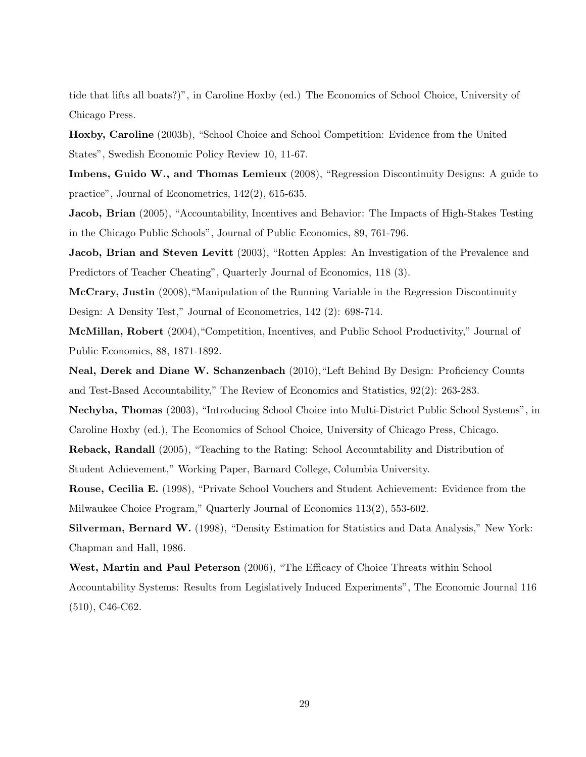tide that lifts all boats?)", in Caroline Hoxby (ed.) The Economics of School Choice, University of Chicago Press.

**Hoxby, Caroline** (2003b), "School Choice and School Competition: Evidence from the United States", Swedish Economic Policy Review 10, 11-67.

**Imbens, Guido W., and Thomas Lemieux** (2008), "Regression Discontinuity Designs: A guide to practice", Journal of Econometrics, 142(2), 615-635.

**Jacob, Brian** (2005), "Accountability, Incentives and Behavior: The Impacts of High-Stakes Testing in the Chicago Public Schools", Journal of Public Economics, 89, 761-796.

**Jacob, Brian and Steven Levitt** (2003), "Rotten Apples: An Investigation of the Prevalence and Predictors of Teacher Cheating", Quarterly Journal of Economics, 118 (3).

**McCrary, Justin** (2008),"Manipulation of the Running Variable in the Regression Discontinuity Design: A Density Test," Journal of Econometrics, 142 (2): 698-714.

**McMillan, Robert** (2004),"Competition, Incentives, and Public School Productivity," Journal of Public Economics, 88, 1871-1892.

**Neal, Derek and Diane W. Schanzenbach** (2010),"Left Behind By Design: Proficiency Counts and Test-Based Accountability," The Review of Economics and Statistics, 92(2): 263-283.

**Nechyba, Thomas** (2003), "Introducing School Choice into Multi-District Public School Systems", in Caroline Hoxby (ed.), The Economics of School Choice, University of Chicago Press, Chicago.

**Reback, Randall** (2005), "Teaching to the Rating: School Accountability and Distribution of

Student Achievement," Working Paper, Barnard College, Columbia University.

**Rouse, Cecilia E.** (1998), "Private School Vouchers and Student Achievement: Evidence from the Milwaukee Choice Program," Quarterly Journal of Economics 113(2), 553-602.

**Silverman, Bernard W.** (1998), "Density Estimation for Statistics and Data Analysis," New York: Chapman and Hall, 1986.

**West, Martin and Paul Peterson** (2006), "The Efficacy of Choice Threats within School Accountability Systems: Results from Legislatively Induced Experiments", The Economic Journal 116 (510), C46-C62.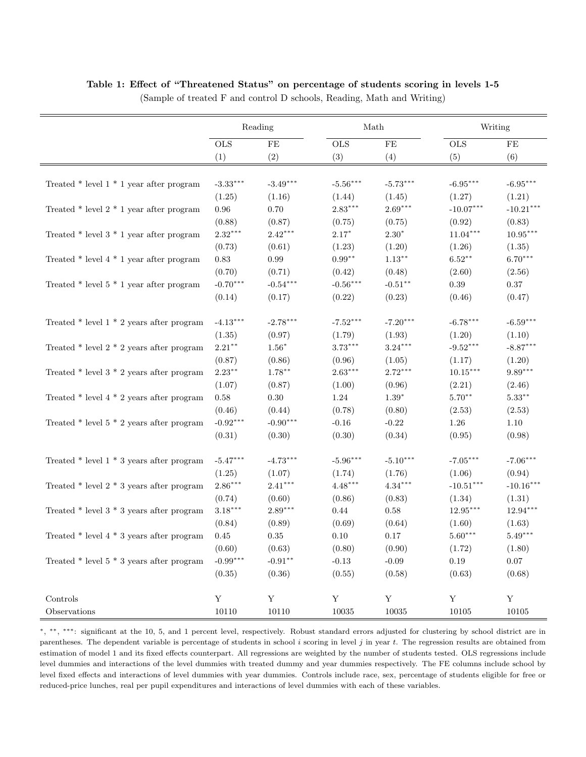|                                               |                   | Reading       |                   | Math          |                   | Writing           |
|-----------------------------------------------|-------------------|---------------|-------------------|---------------|-------------------|-------------------|
|                                               | <b>OLS</b>        | $\rm FE$      | <b>OLS</b>        | $\rm FE$      | <b>OLS</b>        | FE                |
|                                               | (1)               | (2)           | (3)               | (4)           | (5)               | (6)               |
| Treated $*$ level $1 * 1$ year after program  | $-3.33***$        | $-3.49***$    | $-5.56***$        | $-5.73***$    | $-6.95***$        | $-6.95***$        |
|                                               | (1.25)            | (1.16)        | (1.44)            | (1.45)        | (1.27)            | (1.21)            |
| Treated $*$ level $2 * 1$ year after program  | $\rm 0.96$        | $0.70\,$      | $2.83***$         | $2.69***$     | $-10.07***$       | $-10.21***$       |
|                                               | (0.88)            | (0.87)        | (0.75)            | (0.75)        | (0.92)            | (0.83)            |
| Treated $*$ level 3 $*$ 1 year after program  | $2.32***$         | $2.42***$     | $2.17^\ast$       | $2.30^\ast$   | $11.04***$        | $10.95***$        |
|                                               | (0.73)            | (0.61)        | (1.23)            | (1.20)        | (1.26)            | (1.35)            |
| Treated $*$ level $4 * 1$ year after program  | $0.83\,$          | 0.99          | $0.99^{\ast\ast}$ | $1.13***$     | $6.52^{\ast\ast}$ | $6.70***$         |
|                                               | (0.70)            | (0.71)        | (0.42)            | (0.48)        | (2.60)            | (2.56)            |
| Treated $*$ level $5 * 1$ year after program  | $-0.70***$        | $-0.54***$    | $-0.56***$        | $-0.51***$    | $0.39\,$          | $0.37\,$          |
|                                               | (0.14)            | (0.17)        | (0.22)            | (0.23)        | (0.46)            | (0.47)            |
| Treated $*$ level $1 * 2$ years after program | $-4.13***$        | $-2.78***$    | $-7.52***$        | $-7.20***$    | $-6.78***$        | $-6.59***$        |
|                                               | (1.35)            | (0.97)        | (1.79)            | (1.93)        | (1.20)            | (1.10)            |
| Treated $*$ level 2 $*$ 2 years after program | $2.21^{\ast\ast}$ | $1.56^{\ast}$ | $3.73***$         | $3.24***$     | $-9.52***$        | $-8.87***$        |
|                                               | (0.87)            | (0.86)        | (0.96)            | (1.05)        | (1.17)            | (1.20)            |
| Treated $*$ level 3 $*$ 2 years after program | $2.23***$         | $1.78***$     | $2.63***$         | $2.72***$     | $10.15***$        | $9.89***$         |
|                                               | (1.07)            | (0.87)        | (1.00)            | (0.96)        | (2.21)            | (2.46)            |
| Treated $*$ level 4 $*$ 2 years after program | $0.58\,$          | $0.30\,$      | 1.24              | $1.39^{\ast}$ | $5.70^{\ast\ast}$ | $5.33^{\ast\ast}$ |
|                                               | (0.46)            | (0.44)        | (0.78)            | (0.80)        | (2.53)            | (2.53)            |
| Treated $*$ level 5 $*$ 2 years after program | $-0.92***$        | $-0.90***$    | $-0.16$           | $-0.22$       | $1.26\,$          | $1.10\,$          |
|                                               | (0.31)            | (0.30)        | (0.30)            | (0.34)        | (0.95)            | (0.98)            |
| Treated $*$ level $1 * 3$ years after program | $-5.47***$        | $-4.73***$    | $-5.96***$        | $-5.10***$    | $-7.05***$        | $-7.06***$        |
|                                               | (1.25)            | (1.07)        | (1.74)            | (1.76)        | (1.06)            | (0.94)            |
| Treated $*$ level 2 $*$ 3 years after program | $2.86***$         | $2.41***$     | $4.48***$         | $4.34***$     | $-10.51***$       | $-10.16***$       |
|                                               | (0.74)            | (0.60)        | (0.86)            | (0.83)        | (1.34)            | (1.31)            |
| Treated $*$ level 3 $*$ 3 years after program | $3.18***$         | $2.89***$     | 0.44              | $0.58\,$      | $12.95***$        | $12.94***$        |
|                                               | (0.84)            | (0.89)        | (0.69)            | (0.64)        | (1.60)            | (1.63)            |
| Treated $*$ level 4 $*$ 3 years after program | $0.45\,$          | $0.35\,$      | $0.10\,$          | $0.17\,$      | $5.60***$         | $5.49***$         |
|                                               | (0.60)            | (0.63)        | (0.80)            | (0.90)        | (1.72)            | (1.80)            |
| Treated $*$ level 5 $*$ 3 years after program | $-0.99***$        | $-0.91**$     | $-0.13$           | $-0.09$       | $0.19\,$          | $0.07\,$          |
|                                               | (0.35)            | (0.36)        | (0.55)            | (0.58)        | (0.63)            | (0.68)            |
| $\mbox{Controls}$                             | $\mathbf Y$       | $\mathbf Y$   | $\mathbf Y$       | $\mathbf Y$   | $\mathbf Y$       | $\mathbf Y$       |
| Observations                                  | 10110             | $10110\,$     | $10035\,$         | $10035\,$     | $10105\,$         | $10105\,$         |

# Table 1: Effect of "Threatened Status" on percentage of students scoring in levels 1-5

(Sample of treated F and control D schools, Reading, Math and Writing)

∗, ∗∗, ∗∗∗: significant at the 10, 5, and 1 percent level, respectively. Robust standard errors adjusted for clustering by school district are in parentheses. The dependent variable is percentage of students in school  $i$  scoring in level  $j$  in year  $t$ . The regression results are obtained from estimation of model 1 and its fixed effects counterpart. All regressions are weighted by the number of students tested. OLS regressions include level dummies and interactions of the level dummies with treated dummy and year dummies respectively. The FE columns include school by level fixed effects and interactions of level dummies with year dummies. Controls include race, sex, percentage of students eligible for free or reduced-price lunches, real per pupil expenditures and interactions of level dummies with each of these variables.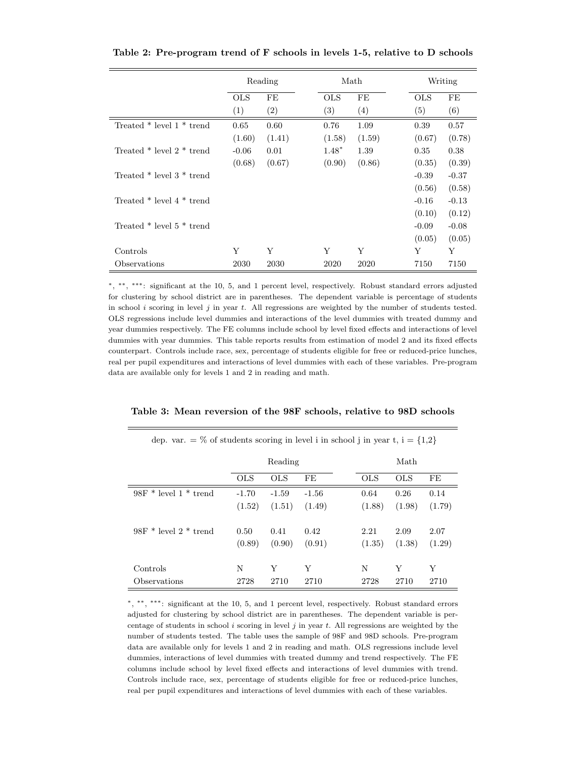|                               |            | Reading           |            | Math   |            | Writing |
|-------------------------------|------------|-------------------|------------|--------|------------|---------|
|                               | <b>OLS</b> | FE                | <b>OLS</b> | FE     | <b>OLS</b> | FE      |
|                               | (1)        | $\left( 2\right)$ | (3)        | (4)    | (5)        | (6)     |
| Treated $*$ level 1 $*$ trend | 0.65       | 0.60              | 0.76       | 1.09   | 0.39       | 0.57    |
|                               | (1.60)     | (1.41)            | (1.58)     | (1.59) | (0.67)     | (0.78)  |
| Treated $*$ level 2 $*$ trend | $-0.06$    | 0.01              | $1.48*$    | 1.39   | 0.35       | 0.38    |
|                               | (0.68)     | (0.67)            | (0.90)     | (0.86) | (0.35)     | (0.39)  |
| Treated $*$ level 3 $*$ trend |            |                   |            |        | $-0.39$    | $-0.37$ |
|                               |            |                   |            |        | (0.56)     | (0.58)  |
| Treated $*$ level 4 $*$ trend |            |                   |            |        | $-0.16$    | $-0.13$ |
|                               |            |                   |            |        | (0.10)     | (0.12)  |
| Treated $*$ level 5 $*$ trend |            |                   |            |        | $-0.09$    | $-0.08$ |
|                               |            |                   |            |        | (0.05)     | (0.05)  |
| Controls                      | Υ          | Y                 | Y          | Y      | Y          | Y       |
| Observations                  | 2030       | 2030              | 2020       | 2020   | 7150       | 7150    |

Table 2: Pre-program trend of F schools in levels 1-5, relative to D schools

∗, ∗∗, ∗∗∗: significant at the 10, 5, and 1 percent level, respectively. Robust standard errors adjusted for clustering by school district are in parentheses. The dependent variable is percentage of students in school i scoring in level j in year t. All regressions are weighted by the number of students tested. OLS regressions include level dummies and interactions of the level dummies with treated dummy and year dummies respectively. The FE columns include school by level fixed effects and interactions of level dummies with year dummies. This table reports results from estimation of model 2 and its fixed effects counterpart. Controls include race, sex, percentage of students eligible for free or reduced-price lunches, real per pupil expenditures and interactions of level dummies with each of these variables. Pre-program data are available only for levels 1 and 2 in reading and math.

| dep. var. = % of students scoring in level i in school j in year t, $i = \{1,2\}$ |            |            |         |            |            |        |  |  |
|-----------------------------------------------------------------------------------|------------|------------|---------|------------|------------|--------|--|--|
|                                                                                   | Reading    |            |         | Math       |            |        |  |  |
|                                                                                   | <b>OLS</b> | <b>OLS</b> | FE      | <b>OLS</b> | <b>OLS</b> | FE     |  |  |
| $98F * level 1 * trend$                                                           | $-1.70$    | $-1.59$    | $-1.56$ | 0.64       | 0.26       | 0.14   |  |  |
|                                                                                   | (1.52)     | (1.51)     | (1.49)  | (1.88)     | (1.98)     | (1.79) |  |  |
| $98F * level 2 * trend$                                                           | 0.50       | 0.41       | 0.42    | 2.21       | 2.09       | 2.07   |  |  |
|                                                                                   | (0.89)     | (0.90)     | (0.91)  | (1.35)     | (1.38)     | (1.29) |  |  |
| Controls                                                                          | N          | Y          | Y       | N          | Y          | Y      |  |  |
| Observations                                                                      | 2728       | 2710       | 2710    | 2728       | 2710       | 2710   |  |  |

Table 3: Mean reversion of the 98F schools, relative to 98D schools

∗, ∗∗, ∗∗∗: significant at the 10, 5, and 1 percent level, respectively. Robust standard errors adjusted for clustering by school district are in parentheses. The dependent variable is percentage of students in school  $i$  scoring in level  $j$  in year  $t$ . All regressions are weighted by the number of students tested. The table uses the sample of 98F and 98D schools. Pre-program data are available only for levels 1 and 2 in reading and math. OLS regressions include level dummies, interactions of level dummies with treated dummy and trend respectively. The FE columns include school by level fixed effects and interactions of level dummies with trend. Controls include race, sex, percentage of students eligible for free or reduced-price lunches, real per pupil expenditures and interactions of level dummies with each of these variables.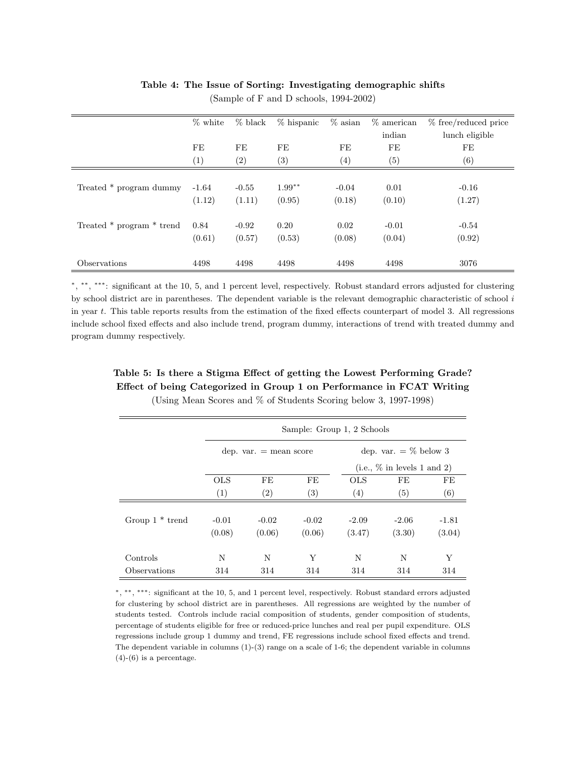|                           | % white           | % black           | % hispanic         | $%$ asian         | $%$ american<br>indian | % free/reduced price<br>lunch eligible |
|---------------------------|-------------------|-------------------|--------------------|-------------------|------------------------|----------------------------------------|
|                           | FE                | FE                | FE                 | FE                | FE                     | FE                                     |
|                           | $\left(1\right)$  | (2)               | (3)                | $\left(4\right)$  | $\left( 5\right)$      | (6)                                    |
| Treated * program dummy   | $-1.64$<br>(1.12) | $-0.55$<br>(1.11) | $1.99**$<br>(0.95) | $-0.04$<br>(0.18) | 0.01<br>(0.10)         | $-0.16$<br>(1.27)                      |
| Treated * program * trend | 0.84<br>(0.61)    | $-0.92$<br>(0.57) | 0.20<br>(0.53)     | 0.02<br>(0.08)    | $-0.01$<br>(0.04)      | $-0.54$<br>(0.92)                      |
| Observations              | 4498              | 4498              | 4498               | 4498              | 4498                   | 3076                                   |

## Table 4: The Issue of Sorting: Investigating demographic shifts (Sample of F and D schools, 1994-2002)

∗ , ∗∗ , ∗∗∗: significant at the 10, 5, and 1 percent level, respectively. Robust standard errors adjusted for clustering by school district are in parentheses. The dependent variable is the relevant demographic characteristic of school i in year t. This table reports results from the estimation of the fixed effects counterpart of model 3. All regressions include school fixed effects and also include trend, program dummy, interactions of trend with treated dummy and program dummy respectively.

| Table 5: Is there a Stigma Effect of getting the Lowest Performing Grade?                                                                                                                                                                                                      |
|--------------------------------------------------------------------------------------------------------------------------------------------------------------------------------------------------------------------------------------------------------------------------------|
| Effect of being Categorized in Group 1 on Performance in FCAT Writing                                                                                                                                                                                                          |
| $\sim$ 0.1 $\sim$ 0.1 $\sim$ 0.1 $\sim$ 0.1 $\sim$ 0.1 $\sim$ 0.1 $\sim$ 0.1 $\sim$ 0.1 $\sim$ 0.1 $\sim$ 0.1 $\sim$ 0.1 $\sim$ 0.1 $\sim$ 0.1 $\sim$ 0.1 $\sim$ 0.1 $\sim$ 0.1 $\sim$ 0.1 $\sim$ 0.1 $\sim$ 0.1 $\sim$ 0.1 $\sim$ 0.1 $\sim$ 0.1 $\sim$ 0.1 $\sim$ 0.1 $\sim$ |

| (Using Mean Scores and % of Students Scoring below 3, 1997-1998) |  |  |  |
|------------------------------------------------------------------|--|--|--|
|------------------------------------------------------------------|--|--|--|

|                          |            | Sample: Group 1, 2 Schools |                   |            |                             |         |  |  |  |  |
|--------------------------|------------|----------------------------|-------------------|------------|-----------------------------|---------|--|--|--|--|
|                          |            | $dep. var. = mean score$   |                   |            | dep. var. $=$ % below 3     |         |  |  |  |  |
|                          |            |                            |                   |            | (i.e., % in levels 1 and 2) |         |  |  |  |  |
|                          | <b>OLS</b> | FE                         | FE                | <b>OLS</b> | FE                          | FE      |  |  |  |  |
|                          | (1)        | $\left( 2\right)$          | $\left( 3\right)$ | (4)        | (5)                         | (6)     |  |  |  |  |
|                          |            |                            |                   |            |                             |         |  |  |  |  |
| Group $1 * \text{trend}$ | $-0.01$    | $-0.02$                    | $-0.02$           | $-2.09$    | $-2.06$                     | $-1.81$ |  |  |  |  |
|                          | (0.08)     | (0.06)                     | (0.06)            | (3.47)     | (3.30)                      | (3.04)  |  |  |  |  |
| Controls                 | N          | N                          | Y                 | N          | N                           | Y       |  |  |  |  |
| Observations             | 314        | 314                        | 314               | 314        | 314                         | 314     |  |  |  |  |

∗, ∗∗, ∗∗∗: significant at the 10, 5, and 1 percent level, respectively. Robust standard errors adjusted for clustering by school district are in parentheses. All regressions are weighted by the number of students tested. Controls include racial composition of students, gender composition of students, percentage of students eligible for free or reduced-price lunches and real per pupil expenditure. OLS regressions include group 1 dummy and trend, FE regressions include school fixed effects and trend. The dependent variable in columns (1)-(3) range on a scale of 1-6; the dependent variable in columns  $(4)-(6)$  is a percentage.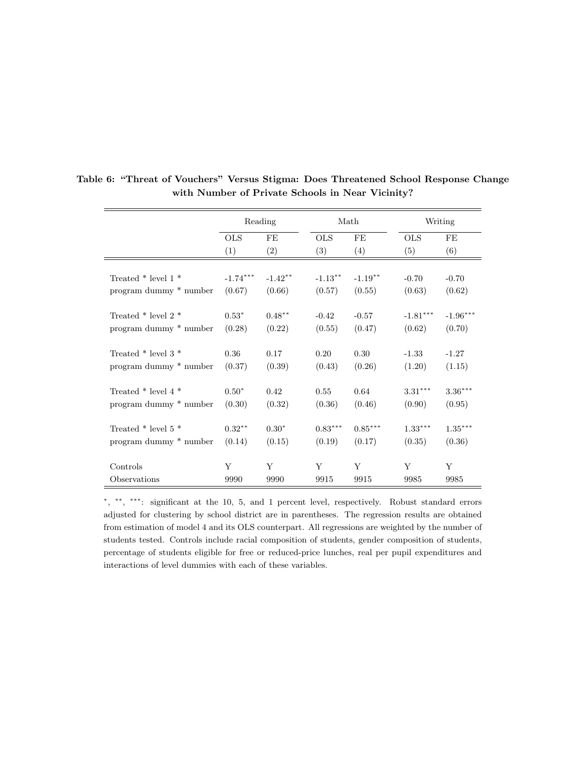|                          | Reading    |           |            | Math       | Writing    |            |  |
|--------------------------|------------|-----------|------------|------------|------------|------------|--|
|                          | <b>OLS</b> | FE        | <b>OLS</b> | $\rm FE$   | <b>OLS</b> | FE         |  |
|                          | (1)        | (2)       | (3)        | (4)        | (5)        | (6)        |  |
|                          |            |           |            |            |            |            |  |
| Treated $*$ level 1 $*$  | $-1.74***$ | $-1.42**$ | $-1.13***$ | $-1.19***$ | $-0.70$    | $-0.70$    |  |
| program dummy $*$ number | (0.67)     | (0.66)    | (0.57)     | (0.55)     | (0.63)     | (0.62)     |  |
|                          |            |           |            |            |            |            |  |
| Treated * level 2 *      | $0.53*$    | $0.48***$ | $-0.42$    | $-0.57$    | $-1.81***$ | $-1.96***$ |  |
| program dummy $*$ number | (0.28)     | (0.22)    | (0.55)     | (0.47)     | (0.62)     | (0.70)     |  |
|                          |            |           |            |            |            |            |  |
| Treated * level 3 *      | 0.36       | 0.17      | 0.20       | 0.30       | $-1.33$    | $-1.27$    |  |
| program dummy $*$ number | (0.37)     | (0.39)    | (0.43)     | (0.26)     | (1.20)     | (1.15)     |  |
|                          |            |           |            |            |            |            |  |
| Treated $*$ level 4 $*$  | $0.50*$    | 0.42      | 0.55       | 0.64       | $3.31***$  | $3.36***$  |  |
| program dummy $*$ number | (0.30)     | (0.32)    | (0.36)     | (0.46)     | (0.90)     | (0.95)     |  |
|                          |            |           |            |            |            |            |  |
| Treated $*$ level 5 $*$  | $0.32***$  | $0.30*$   | $0.83***$  | $0.85***$  | $1.33***$  | $1.35***$  |  |
| program dummy * number   | (0.14)     | (0.15)    | (0.19)     | (0.17)     | (0.35)     | (0.36)     |  |
|                          |            |           |            |            |            |            |  |
| Controls                 | Y          | Y         | Y          | Υ          | Y          | Υ          |  |
| Observations             | 9990       | 9990      | 9915       | 9915       | 9985       | 9985       |  |

|  | Table 6: "Threat of Vouchers" Versus Stigma: Does Threatened School Response Change |  |  |  |
|--|-------------------------------------------------------------------------------------|--|--|--|
|  | with Number of Private Schools in Near Vicinity?                                    |  |  |  |

∗ , ∗∗ , ∗∗∗: significant at the 10, 5, and 1 percent level, respectively. Robust standard errors adjusted for clustering by school district are in parentheses. The regression results are obtained from estimation of model 4 and its OLS counterpart. All regressions are weighted by the number of students tested. Controls include racial composition of students, gender composition of students, percentage of students eligible for free or reduced-price lunches, real per pupil expenditures and interactions of level dummies with each of these variables.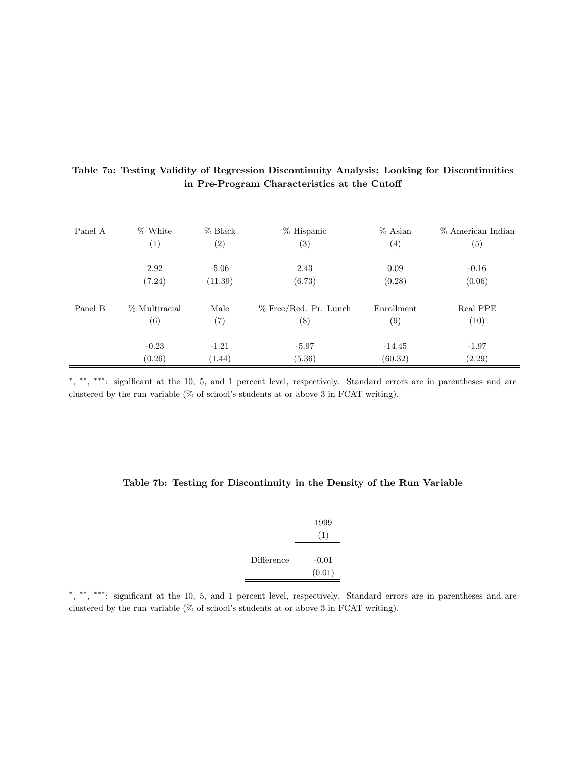| Panel A | % White<br>$\left( 1\right)$ | $%$ Black<br>(2) | % Hispanic<br>(3)     | $%$ Asian<br>$\left( 4\right)$ | % American Indian<br>(5) |
|---------|------------------------------|------------------|-----------------------|--------------------------------|--------------------------|
|         |                              |                  |                       |                                |                          |
|         | 2.92                         | $-5.06$          | 2.43                  | 0.09                           | $-0.16$                  |
|         | (7.24)                       | (11.39)          | (6.73)                | (0.28)                         | (0.06)                   |
|         |                              |                  |                       |                                |                          |
| Panel B | % Multiracial                | Male             | % Free/Red. Pr. Lunch | Enrollment                     | Real PPE                 |
|         | $\left( 6\right)$            | (7)              | (8)                   | (9)                            | (10)                     |
|         |                              |                  |                       |                                |                          |
|         | $-0.23$                      | $-1.21$          | $-5.97$               | $-14.45$                       | $-1.97$                  |
|         | (0.26)                       | (1.44)           | (5.36)                | (60.32)                        | (2.29)                   |

## Table 7a: Testing Validity of Regression Discontinuity Analysis: Looking for Discontinuities in Pre-Program Characteristics at the Cutoff

∗ , ∗∗ , ∗∗∗: significant at the 10, 5, and 1 percent level, respectively. Standard errors are in parentheses and are clustered by the run variable (% of school's students at or above 3 in FCAT writing).

|  | Table 7b: Testing for Discontinuity in the Density of the Run Variable |  |  |  |
|--|------------------------------------------------------------------------|--|--|--|

|            | 1999<br>(1)       |
|------------|-------------------|
| Difference | $-0.01$<br>(0.01) |

∗ , ∗∗ , ∗∗∗: significant at the 10, 5, and 1 percent level, respectively. Standard errors are in parentheses and are clustered by the run variable (% of school's students at or above 3 in FCAT writing).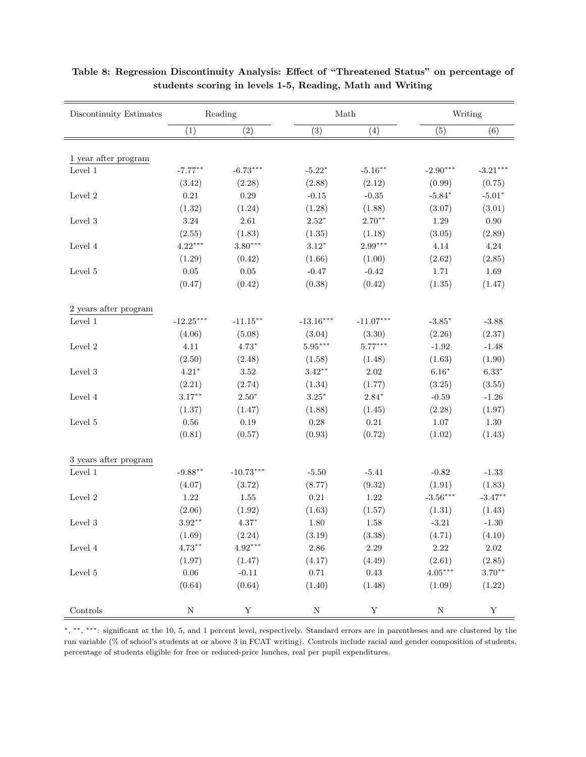| Discontinuity Estimates                    | Reading       |               |               | $\operatorname{Math}$ |             | Writing     |  |
|--------------------------------------------|---------------|---------------|---------------|-----------------------|-------------|-------------|--|
|                                            | (1)           | (2)           | (3)           | (4)                   | (5)         | (6)         |  |
|                                            |               |               |               |                       |             |             |  |
| $1$ year after $\bold{program}$<br>Level 1 |               | $-6.73***$    |               | $-5.16***$            |             |             |  |
|                                            | $-7.77***$    |               | $-5.22*$      |                       | $-2.90***$  | $-3.21***$  |  |
|                                            | (3.42)        | (2.28)        | (2.88)        | (2.12)                | (0.99)      | (0.75)      |  |
| Level 2                                    | $\rm 0.21$    | $0.29\,$      | $-0.15$       | $-0.35$               | $-5.84*$    | $-5.01*$    |  |
|                                            | (1.32)        | (1.24)        | (1.28)        | (1.88)                | (3.07)      | (3.01)      |  |
| Level 3                                    | $3.24\,$      | $2.61\,$      | $2.52^{\ast}$ | $2.70***$             | 1.29        | $0.90\,$    |  |
|                                            | (2.55)        | (1.83)        | (1.35)        | (1.18)                | (3.05)      | (2.89)      |  |
| Level 4                                    | $4.22***$     | $3.80***$     | $3.12^{\ast}$ | $2.99***$             | 4.14        | $4.24\,$    |  |
|                                            | (1.29)        | (0.42)        | (1.66)        | (1.00)                | (2.62)      | (2.85)      |  |
| Level 5                                    | $0.05\,$      | $0.05\,$      | $-0.47$       | $-0.42$               | 1.71        | $1.69\,$    |  |
|                                            | (0.47)        | (0.42)        | (0.38)        | (0.42)                | (1.35)      | (1.47)      |  |
| 2 years after program                      |               |               |               |                       |             |             |  |
| Level 1                                    | $-12.25***$   | $-11.15***$   | $-13.16***$   | $-11.07***$           | $-3.85*$    | $-3.88$     |  |
|                                            | (4.06)        | (5.08)        | (3.04)        | (3.30)                | (2.26)      | (2.37)      |  |
| Level 2                                    | 4.11          | $4.73^\ast$   | $5.95***$     | $5.77***$             | $-1.92$     | $-1.48$     |  |
|                                            | (2.50)        | (2.48)        | (1.58)        | (1.48)                | (1.63)      | (1.90)      |  |
| Level 3                                    | $4.21^{\ast}$ | $3.52\,$      | $3.42***$     | $2.02\,$              | $6.16*$     | $6.33^\ast$ |  |
|                                            | (2.21)        | (2.74)        | (1.34)        | (1.77)                | (3.25)      | (3.55)      |  |
| Level 4                                    | $3.17***$     | $2.50^\ast$   | $3.25^\ast$   | $2.84*$               | $-0.59$     | $-1.26$     |  |
|                                            | (1.37)        | (1.47)        | (1.88)        | (1.45)                | (2.28)      | (1.97)      |  |
| Level 5                                    | $0.56\,$      | 0.19          | 0.28          | $\rm 0.21$            | 1.07        | $1.30\,$    |  |
|                                            | (0.81)        | (0.57)        | (0.93)        | (0.72)                | (1.02)      | (1.43)      |  |
| 3 years after program                      |               |               |               |                       |             |             |  |
| Level 1                                    | $-9.88***$    | $-10.73***$   | $-5.50$       | $-5.41$               | $-0.82$     | $-1.33$     |  |
|                                            | (4.07)        | (3.72)        | (8.77)        | (9.32)                | (1.91)      | (1.83)      |  |
| Level 2                                    | 1.22          | $1.55\,$      | $\rm 0.21$    | $1.22\,$              | $-3.56***$  | $-3.47***$  |  |
|                                            | (2.06)        | (1.92)        | (1.63)        | (1.57)                | (1.31)      | (1.43)      |  |
| Level 3                                    | $3.92**$      | $4.37^{\ast}$ | $1.80\,$      | 1.58                  | $-3.21$     | $-1.30$     |  |
|                                            | (1.69)        | (2.24)        | (3.19)        | (3.38)                | (4.71)      | (4.10)      |  |
| Level 4                                    | $4.73***$     | $4.92***$     | $2.86\,$      | $2.29\,$              | $2.22\,$    | $2.02\,$    |  |
|                                            |               |               |               |                       | (2.61)      |             |  |
|                                            | (1.97)        | (1.47)        | (4.17)        | (4.49)                | $4.05***$   | (2.85)      |  |
| Level $5\,$                                | $0.06\,$      | $-0.11$       | $0.71\,$      | $0.43\,$              |             | $3.70**$    |  |
|                                            | (0.64)        | (0.64)        | (1.40)        | (1.48)                | (1.09)      | (1.22)      |  |
| $\mbox{Controls}$                          | $\rm N$       | $\mathbf Y$   | $\mathbf N$   | $\mathbf Y$           | $\mathbf N$ | $\mathbf Y$ |  |

## Table 8: Regression Discontinuity Analysis: Effect of "Threatened Status" on percentage of students scoring in levels 1-5, Reading, Math and Writing

∗, ∗∗, ∗∗∗: significant at the 10, 5, and 1 percent level, respectively. Standard errors are in parentheses and are clustered by the run variable (% of school's students at or above 3 in FCAT writing). Controls include racial and gender composition of students, percentage of students eligible for free or reduced-price lunches, real per pupil expenditures.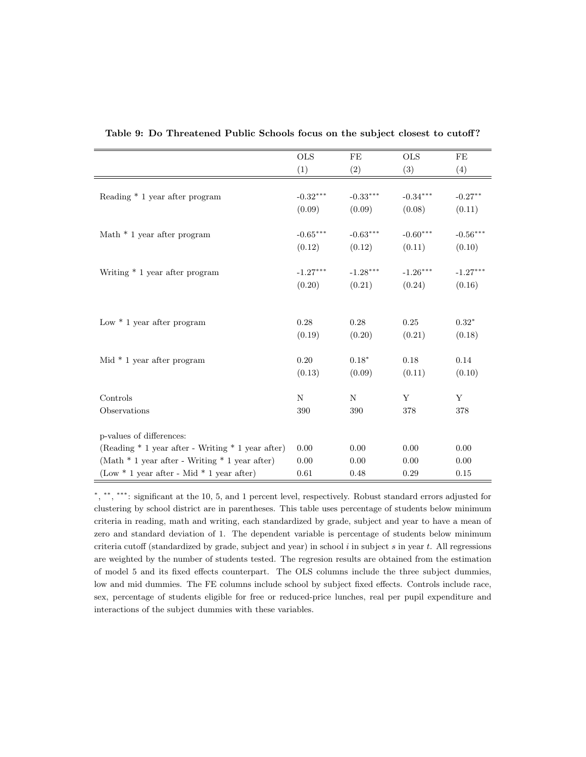|                                                     | <b>OLS</b>                          | $\rm FE$   | <b>OLS</b> | $\rm FE$                        |
|-----------------------------------------------------|-------------------------------------|------------|------------|---------------------------------|
|                                                     | (1)                                 | (2)        | (3)        | (4)                             |
|                                                     |                                     |            |            |                                 |
| Reading * 1 year after program                      | $-0.32***$                          | $-0.33***$ | $-0.34***$ | $-0.27***$                      |
|                                                     | (0.09)                              | (0.09)     | (0.08)     | (0.11)                          |
|                                                     |                                     |            |            |                                 |
| Math $*$ 1 year after program                       | $\textnormal{-}0.65^{\ast\ast\ast}$ | $-0.63***$ | $-0.60***$ | $\textbf{-0.56}^{\ast\ast\ast}$ |
|                                                     | (0.12)                              | (0.12)     | (0.11)     | (0.10)                          |
|                                                     |                                     |            |            |                                 |
| Writing * 1 year after program                      | $-1.27***$                          | $-1.28***$ | $-1.26***$ | $-1.27***$                      |
|                                                     | (0.20)                              | (0.21)     | (0.24)     | (0.16)                          |
|                                                     |                                     |            |            |                                 |
|                                                     |                                     |            |            |                                 |
| Low $*$ 1 year after program                        | 0.28                                | 0.28       | 0.25       | $0.32*$                         |
|                                                     | (0.19)                              | (0.20)     | (0.21)     | (0.18)                          |
|                                                     | 0.20                                | $0.18*$    |            |                                 |
| Mid * 1 year after program                          |                                     |            | 0.18       | 0.14                            |
|                                                     | (0.13)                              | (0.09)     | (0.11)     | (0.10)                          |
| Controls                                            | N                                   | N          | Y          | Y                               |
| Observations                                        | 390                                 | 390        | 378        | 378                             |
|                                                     |                                     |            |            |                                 |
| p-values of differences:                            |                                     |            |            |                                 |
| $(Reading * 1 year after - Writing * 1 year after)$ | 0.00                                | 0.00       | 0.00       | 0.00                            |
| $(Math * 1 year after - Writing * 1 year after)$    | 0.00                                | 0.00       | 0.00       | 0.00                            |
| $(Low * 1 year after - Mid * 1 year after)$         | $\rm 0.61$                          | 0.48       | 0.29       | 0.15                            |

Table 9: Do Threatened Public Schools focus on the subject closest to cutoff ?

∗ , ∗∗ , ∗∗∗: significant at the 10, 5, and 1 percent level, respectively. Robust standard errors adjusted for clustering by school district are in parentheses. This table uses percentage of students below minimum criteria in reading, math and writing, each standardized by grade, subject and year to have a mean of zero and standard deviation of 1. The dependent variable is percentage of students below minimum criteria cutoff (standardized by grade, subject and year) in school  $i$  in subject  $s$  in year  $t$ . All regressions are weighted by the number of students tested. The regresion results are obtained from the estimation of model 5 and its fixed effects counterpart. The OLS columns include the three subject dummies, low and mid dummies. The FE columns include school by subject fixed effects. Controls include race, sex, percentage of students eligible for free or reduced-price lunches, real per pupil expenditure and interactions of the subject dummies with these variables.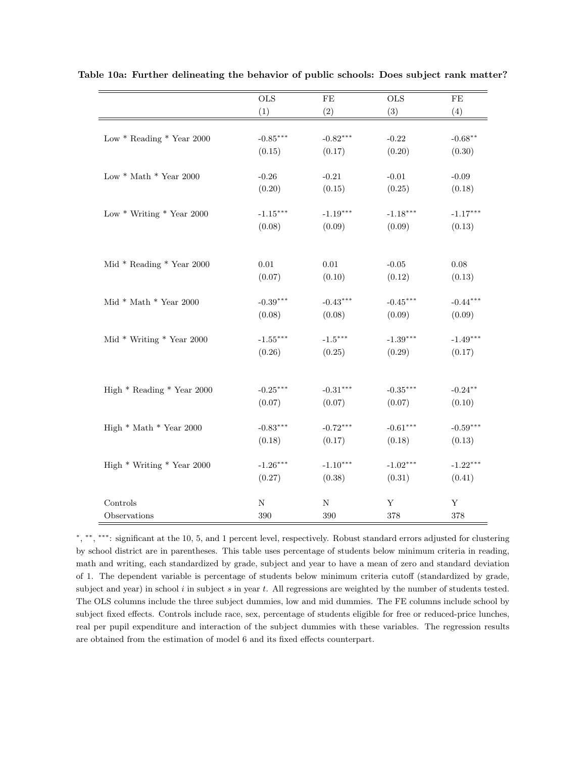|                                | <b>OLS</b>  | $\rm FE$   | <b>OLS</b> | FE          |
|--------------------------------|-------------|------------|------------|-------------|
|                                | (1)         | (2)        | (3)        | (4)         |
|                                |             |            |            |             |
| Low $*$ Reading $*$ Year 2000  | $-0.85***$  | $-0.82***$ | $-0.22$    | $-0.68***$  |
|                                | (0.15)      | (0.17)     | (0.20)     | (0.30)      |
|                                |             |            |            |             |
| Low * Math * Year 2000         | $-0.26$     | $-0.21$    | $-0.01$    | $-0.09$     |
|                                | (0.20)      | (0.15)     | (0.25)     | (0.18)      |
| Low $*$ Writing $*$ Year 2000  | $-1.15***$  | $-1.19***$ | $-1.18***$ | $-1.17***$  |
|                                | (0.08)      | (0.09)     | (0.09)     | (0.13)      |
|                                |             |            |            |             |
| Mid * Reading * Year 2000      | $0.01\,$    | $0.01\,$   | $-0.05$    | 0.08        |
|                                | (0.07)      | (0.10)     | (0.12)     | (0.13)      |
|                                |             |            |            |             |
| Mid * Math * Year 2000         | $-0.39***$  | $-0.43***$ | $-0.45***$ | $-0.44***$  |
|                                | (0.08)      | (0.08)     | (0.09)     | (0.09)      |
| Mid * Writing * Year 2000      | $-1.55***$  | $-1.5***$  | $-1.39***$ | $-1.49***$  |
|                                | (0.26)      | (0.25)     | (0.29)     | (0.17)      |
|                                |             |            |            |             |
|                                |             |            |            |             |
| High * Reading * Year 2000     | $-0.25***$  | $-0.31***$ | $-0.35***$ | $-0.24***$  |
|                                | (0.07)      | (0.07)     | (0.07)     | (0.10)      |
| High $*$ Math $*$ Year 2000    | $-0.83***$  | $-0.72***$ | $-0.61***$ | $-0.59***$  |
|                                | (0.18)      | (0.17)     | (0.18)     | (0.13)      |
|                                |             |            |            |             |
| High $*$ Writing $*$ Year 2000 | $-1.26***$  | $-1.10***$ | $-1.02***$ | $-1.22***$  |
|                                | (0.27)      | (0.38)     | (0.31)     | (0.41)      |
| $\text{Controls}$              | $\mathbf N$ | ${\bf N}$  | Y          | $\mathbf Y$ |
| Observations                   | 390         | 390        | 378        | 378         |

Table 10a: Further delineating the behavior of public schools: Does subject rank matter?

∗ , ∗∗ , ∗∗∗: significant at the 10, 5, and 1 percent level, respectively. Robust standard errors adjusted for clustering by school district are in parentheses. This table uses percentage of students below minimum criteria in reading, math and writing, each standardized by grade, subject and year to have a mean of zero and standard deviation of 1. The dependent variable is percentage of students below minimum criteria cutoff (standardized by grade, subject and year) in school  $i$  in subject  $s$  in year  $t$ . All regressions are weighted by the number of students tested. The OLS columns include the three subject dummies, low and mid dummies. The FE columns include school by subject fixed effects. Controls include race, sex, percentage of students eligible for free or reduced-price lunches, real per pupil expenditure and interaction of the subject dummies with these variables. The regression results are obtained from the estimation of model 6 and its fixed effects counterpart.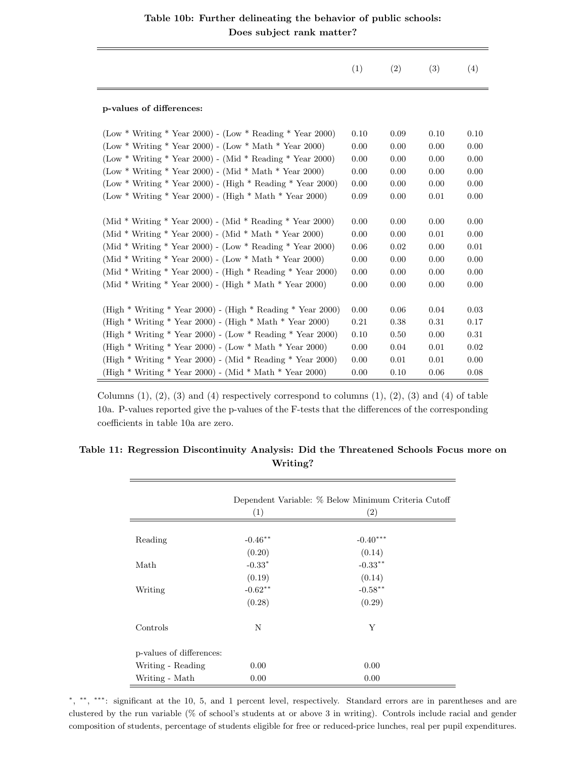## Table 10b: Further delineating the behavior of public schools: Does subject rank matter?

|                                                                    | (1)  | (2)  | (3)  | (4)  |
|--------------------------------------------------------------------|------|------|------|------|
| p-values of differences:                                           |      |      |      |      |
| $(Low * Writing * Year 2000) - (Low * Reading * Year 2000)$        | 0.10 | 0.09 | 0.10 | 0.10 |
| $(Low * Writing * Year 2000) - (Low * Math * Year 2000)$           | 0.00 | 0.00 | 0.00 | 0.00 |
| $(Low * Writing * Year 2000) - (Mid * Reading * Year 2000)$        | 0.00 | 0.00 | 0.00 | 0.00 |
| $(Low * Writing * Year 2000) - (Mid * Math * Year 2000)$           | 0.00 | 0.00 | 0.00 | 0.00 |
| $(Low * Writing * Year 2000) - (High * Reading * Year 2000)$       | 0.00 | 0.00 | 0.00 | 0.00 |
| $(Low * Writing * Year 2000) - (High * Math * Year 2000)$          | 0.09 | 0.00 | 0.01 | 0.00 |
|                                                                    |      |      |      |      |
| (Mid * Writing * Year 2000) - (Mid * Reading * Year 2000)          | 0.00 | 0.00 | 0.00 | 0.00 |
| (Mid * Writing * Year 2000) - (Mid * Math * Year 2000)             | 0.00 | 0.00 | 0.01 | 0.00 |
| (Mid * Writing * Year 2000) - (Low * Reading * Year 2000)          | 0.06 | 0.02 | 0.00 | 0.01 |
| (Mid * Writing * Year 2000) - (Low * Math * Year 2000)             | 0.00 | 0.00 | 0.00 | 0.00 |
| (Mid * Writing * Year 2000) - (High * Reading * Year 2000)         | 0.00 | 0.00 | 0.00 | 0.00 |
| (Mid * Writing * Year 2000) - (High * Math * Year 2000)            | 0.00 | 0.00 | 0.00 | 0.00 |
|                                                                    |      |      |      |      |
| (High * Writing * Year 2000) - (High * Reading * Year 2000)        | 0.00 | 0.06 | 0.04 | 0.03 |
| (High * Writing * Year 2000) - (High * Math * Year 2000)           | 0.21 | 0.38 | 0.31 | 0.17 |
| (High * Writing * Year 2000) - (Low * Reading * Year 2000)         | 0.10 | 0.50 | 0.00 | 0.31 |
| (High * Writing * Year 2000) - $(Low * Math * Year 2000)$          | 0.00 | 0.04 | 0.01 | 0.02 |
| (High $*$ Writing $*$ Year 2000) - (Mid $*$ Reading $*$ Year 2000) | 0.00 | 0.01 | 0.01 | 0.00 |
| (High * Writing * Year 2000) - (Mid * Math * Year 2000)            | 0.00 | 0.10 | 0.06 | 0.08 |

Columns  $(1)$ ,  $(2)$ ,  $(3)$  and  $(4)$  respectively correspond to columns  $(1)$ ,  $(2)$ ,  $(3)$  and  $(4)$  of table 10a. P-values reported give the p-values of the F-tests that the differences of the corresponding coefficients in table 10a are zero.

|  | Table 11: Regression Discontinuity Analysis: Did the Threatened Schools Focus more on |          |  |  |  |  |
|--|---------------------------------------------------------------------------------------|----------|--|--|--|--|
|  |                                                                                       | Writing? |  |  |  |  |

|                          |           | Dependent Variable: % Below Minimum Criteria Cutoff |
|--------------------------|-----------|-----------------------------------------------------|
|                          | (1)       | (2)                                                 |
|                          |           |                                                     |
| Reading                  | $-0.46**$ | $-0.40***$                                          |
|                          | (0.20)    | (0.14)                                              |
| Math                     | $-0.33*$  | $-0.33***$                                          |
|                          | (0.19)    | (0.14)                                              |
| Writing                  | $-0.62**$ | $-0.58**$                                           |
|                          | (0.28)    | (0.29)                                              |
| Controls                 | N         | Y                                                   |
| p-values of differences: |           |                                                     |
| Writing - Reading        | 0.00      | 0.00                                                |
| Writing - Math           | 0.00      | 0.00                                                |

∗ , ∗∗ , ∗∗∗: significant at the 10, 5, and 1 percent level, respectively. Standard errors are in parentheses and are clustered by the run variable (% of school's students at or above 3 in writing). Controls include racial and gender composition of students, percentage of students eligible for free or reduced-price lunches, real per pupil expenditures.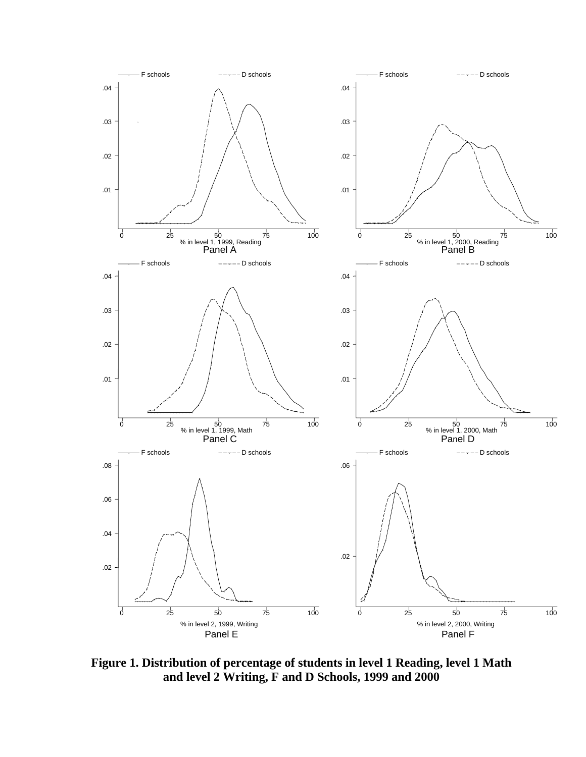

**Figure 1. Distribution of percentage of students in level 1 Reading, level 1 Math and level 2 Writing, F and D Schools, 1999 and 2000**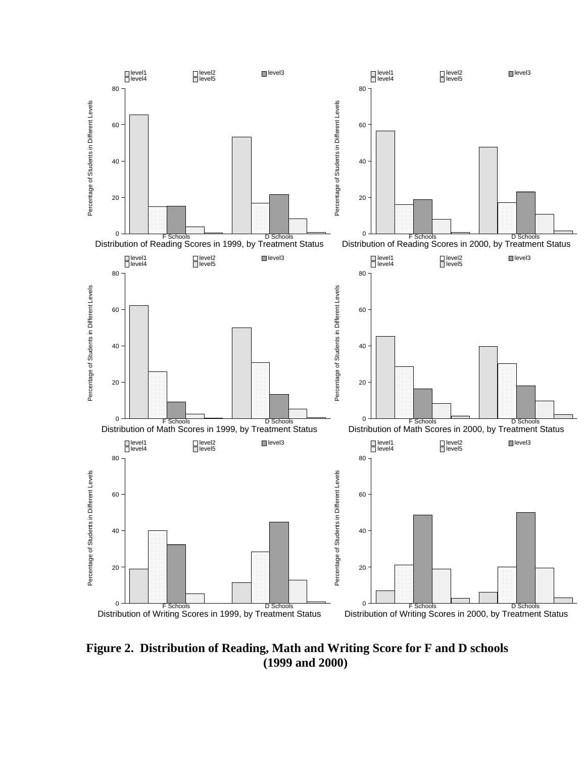

**Figure 2. Distribution of Reading, Math and Writing Score for F and D schools (1999 and 2000)**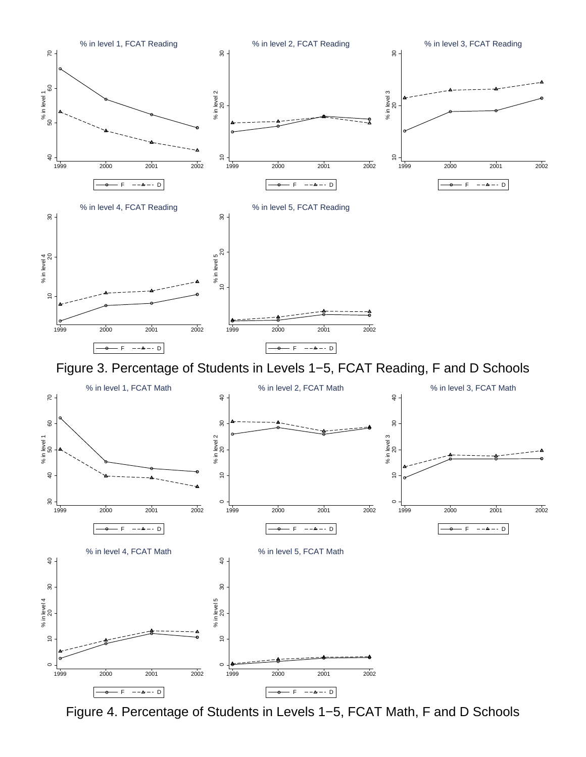

Figure 3. Percentage of Students in Levels 1−5, FCAT Reading, F and D Schools



Figure 4. Percentage of Students in Levels 1−5, FCAT Math, F and D Schools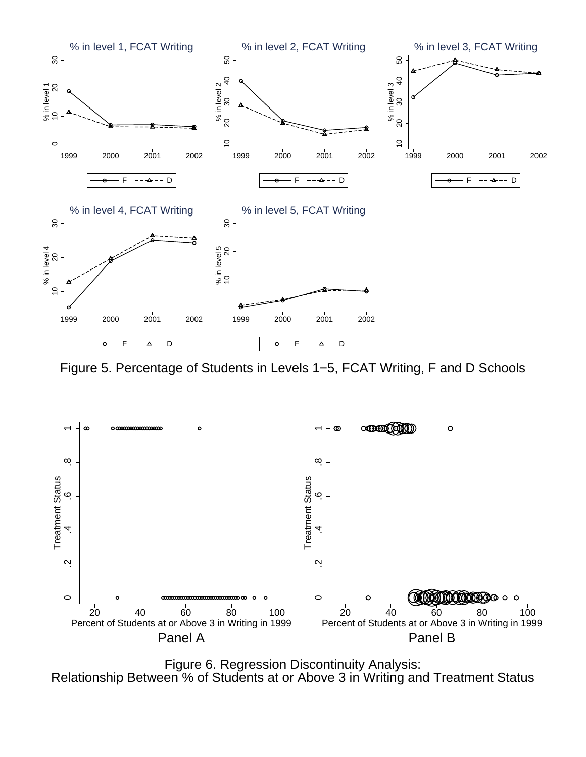

Figure 5. Percentage of Students in Levels 1−5, FCAT Writing, F and D Schools



Figure 6. Regression Discontinuity Analysis: Relationship Between % of Students at or Above 3 in Writing and Treatment Status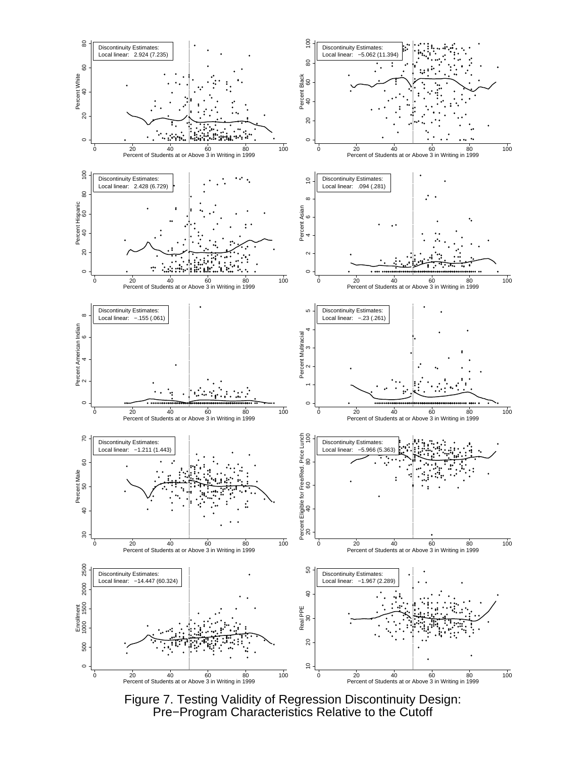

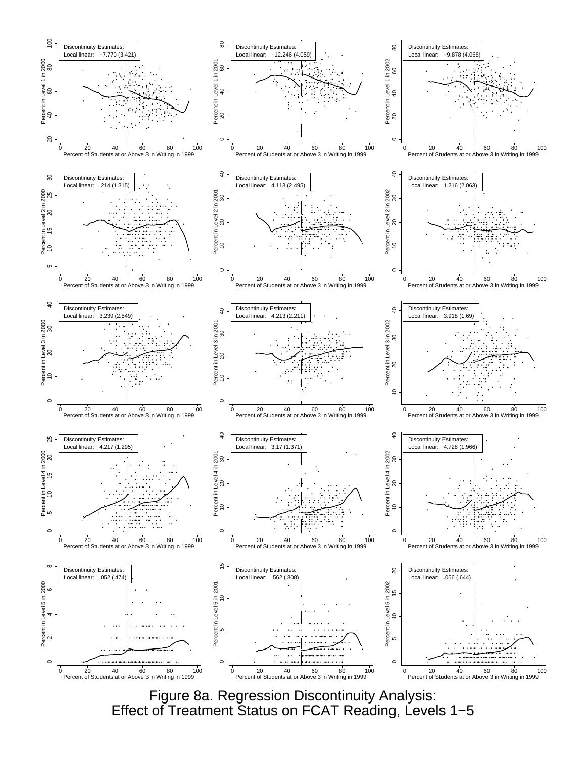

Figure 8a. Regression Discontinuity Analysis: Effect of Treatment Status on FCAT Reading, Levels 1−5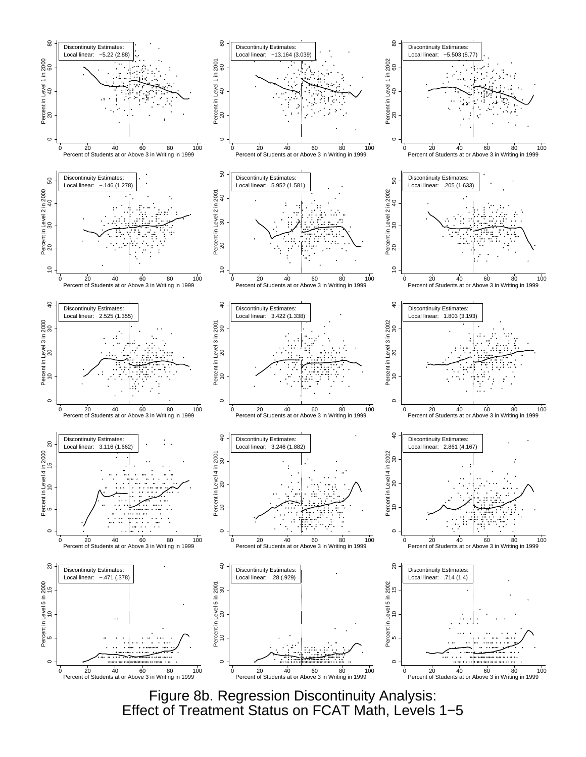

Figure 8b. Regression Discontinuity Analysis: Effect of Treatment Status on FCAT Math, Levels 1−5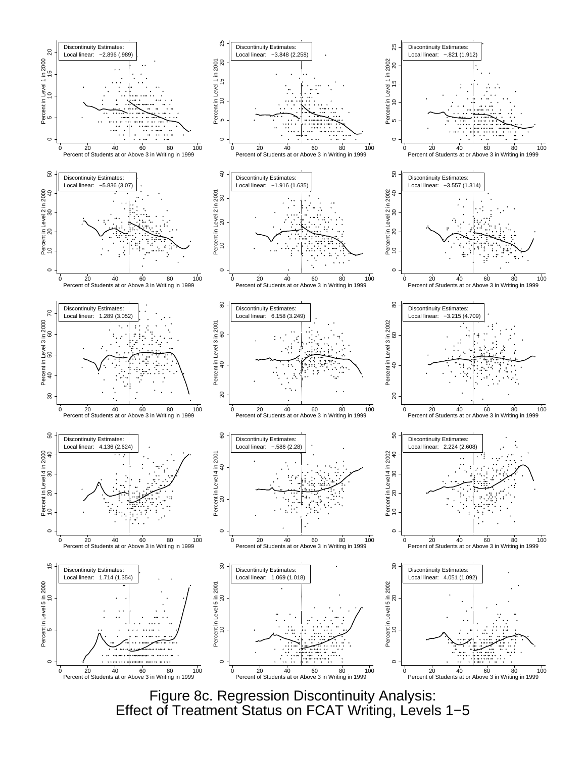

Figure 8c. Regression Discontinuity Analysis: Effect of Treatment Status on FCAT Writing, Levels 1−5